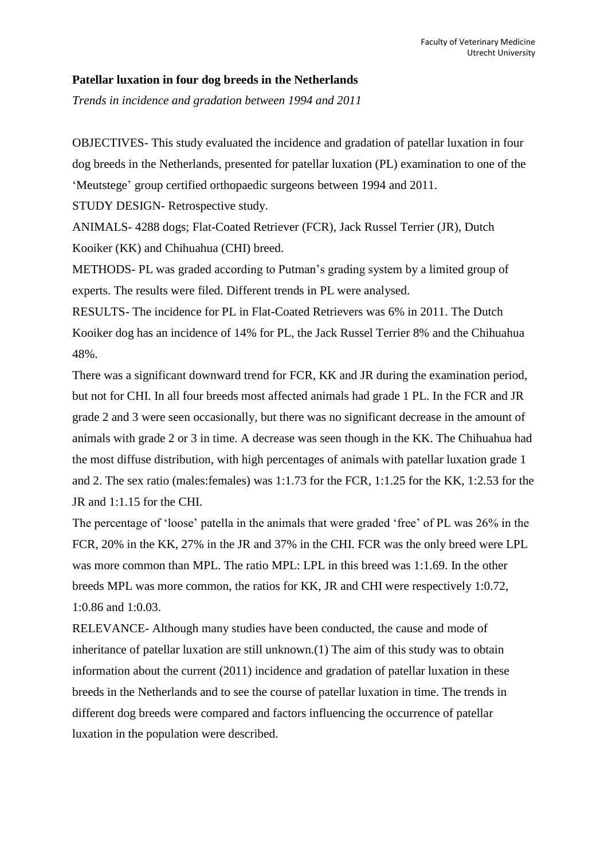#### **Patellar luxation in four dog breeds in the Netherlands**

*Trends in incidence and gradation between 1994 and 2011*

OBJECTIVES- This study evaluated the incidence and gradation of patellar luxation in four dog breeds in the Netherlands, presented for patellar luxation (PL) examination to one of the 'Meutstege' group certified orthopaedic surgeons between 1994 and 2011.

STUDY DESIGN- Retrospective study.

ANIMALS- 4288 dogs; Flat-Coated Retriever (FCR), Jack Russel Terrier (JR), Dutch Kooiker (KK) and Chihuahua (CHI) breed.

METHODS- PL was graded according to Putman's grading system by a limited group of experts. The results were filed. Different trends in PL were analysed.

RESULTS- The incidence for PL in Flat-Coated Retrievers was 6% in 2011. The Dutch Kooiker dog has an incidence of 14% for PL, the Jack Russel Terrier 8% and the Chihuahua 48%.

There was a significant downward trend for FCR, KK and JR during the examination period, but not for CHI. In all four breeds most affected animals had grade 1 PL. In the FCR and JR grade 2 and 3 were seen occasionally, but there was no significant decrease in the amount of animals with grade 2 or 3 in time. A decrease was seen though in the KK. The Chihuahua had the most diffuse distribution, with high percentages of animals with patellar luxation grade 1 and 2. The sex ratio (males:females) was 1:1.73 for the FCR, 1:1.25 for the KK, 1:2.53 for the JR and 1:1.15 for the CHI.

The percentage of 'loose' patella in the animals that were graded 'free' of PL was 26% in the FCR, 20% in the KK, 27% in the JR and 37% in the CHI. FCR was the only breed were LPL was more common than MPL. The ratio MPL: LPL in this breed was 1:1.69. In the other breeds MPL was more common, the ratios for KK, JR and CHI were respectively 1:0.72, 1:0.86 and 1:0.03.

RELEVANCE- Although many studies have been conducted, the cause and mode of inheritance of patellar luxation are still unknown.(1) The aim of this study was to obtain information about the current (2011) incidence and gradation of patellar luxation in these breeds in the Netherlands and to see the course of patellar luxation in time. The trends in different dog breeds were compared and factors influencing the occurrence of patellar luxation in the population were described.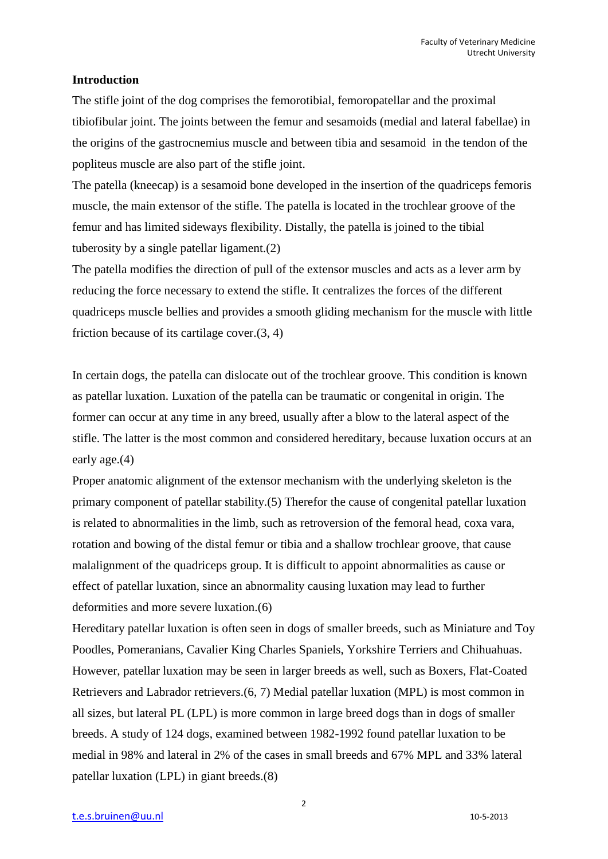#### **Introduction**

The stifle joint of the dog comprises the femorotibial, femoropatellar and the proximal tibiofibular joint. The joints between the femur and sesamoids (medial and lateral fabellae) in the origins of the gastrocnemius muscle and between tibia and sesamoid in the tendon of the popliteus muscle are also part of the stifle joint.

The patella (kneecap) is a sesamoid bone developed in the insertion of the quadriceps femoris muscle, the main extensor of the stifle. The patella is located in the trochlear groove of the femur and has limited sideways flexibility. Distally, the patella is joined to the tibial tuberosity by a single patellar ligament.(2)

The patella modifies the direction of pull of the extensor muscles and acts as a lever arm by reducing the force necessary to extend the stifle. It centralizes the forces of the different quadriceps muscle bellies and provides a smooth gliding mechanism for the muscle with little friction because of its cartilage cover.(3, 4)

In certain dogs, the patella can dislocate out of the trochlear groove. This condition is known as patellar luxation. Luxation of the patella can be traumatic or congenital in origin. The former can occur at any time in any breed, usually after a blow to the lateral aspect of the stifle. The latter is the most common and considered hereditary, because luxation occurs at an early age.(4)

Proper anatomic alignment of the extensor mechanism with the underlying skeleton is the primary component of patellar stability.(5) Therefor the cause of congenital patellar luxation is related to abnormalities in the limb, such as retroversion of the femoral head, coxa vara, rotation and bowing of the distal femur or tibia and a shallow trochlear groove, that cause malalignment of the quadriceps group. It is difficult to appoint abnormalities as cause or effect of patellar luxation, since an abnormality causing luxation may lead to further deformities and more severe luxation.(6)

Hereditary patellar luxation is often seen in dogs of smaller breeds, such as Miniature and Toy Poodles, Pomeranians, Cavalier King Charles Spaniels, Yorkshire Terriers and Chihuahuas. However, patellar luxation may be seen in larger breeds as well, such as Boxers, Flat-Coated Retrievers and Labrador retrievers.(6, 7) Medial patellar luxation (MPL) is most common in all sizes, but lateral PL (LPL) is more common in large breed dogs than in dogs of smaller breeds. A study of 124 dogs, examined between 1982-1992 found patellar luxation to be medial in 98% and lateral in 2% of the cases in small breeds and 67% MPL and 33% lateral patellar luxation (LPL) in giant breeds.(8)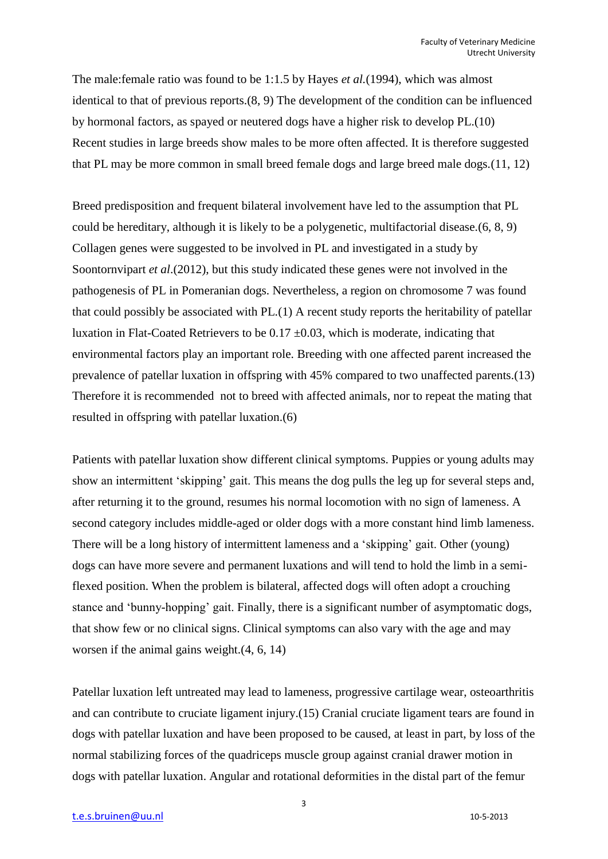The male:female ratio was found to be 1:1.5 by Hayes *et al.*(1994), which was almost identical to that of previous reports.(8, 9) The development of the condition can be influenced by hormonal factors, as spayed or neutered dogs have a higher risk to develop PL.(10) Recent studies in large breeds show males to be more often affected. It is therefore suggested that PL may be more common in small breed female dogs and large breed male dogs.(11, 12)

Breed predisposition and frequent bilateral involvement have led to the assumption that PL could be hereditary, although it is likely to be a polygenetic, multifactorial disease.(6, 8, 9) Collagen genes were suggested to be involved in PL and investigated in a study by Soontornvipart *et al*.(2012), but this study indicated these genes were not involved in the pathogenesis of PL in Pomeranian dogs. Nevertheless, a region on chromosome 7 was found that could possibly be associated with PL.(1) A recent study reports the heritability of patellar luxation in Flat-Coated Retrievers to be  $0.17 \pm 0.03$ , which is moderate, indicating that environmental factors play an important role. Breeding with one affected parent increased the prevalence of patellar luxation in offspring with 45% compared to two unaffected parents.(13) Therefore it is recommended not to breed with affected animals, nor to repeat the mating that resulted in offspring with patellar luxation.(6)

Patients with patellar luxation show different clinical symptoms. Puppies or young adults may show an intermittent 'skipping' gait. This means the dog pulls the leg up for several steps and, after returning it to the ground, resumes his normal locomotion with no sign of lameness. A second category includes middle-aged or older dogs with a more constant hind limb lameness. There will be a long history of intermittent lameness and a 'skipping' gait. Other (young) dogs can have more severe and permanent luxations and will tend to hold the limb in a semiflexed position. When the problem is bilateral, affected dogs will often adopt a crouching stance and 'bunny-hopping' gait. Finally, there is a significant number of asymptomatic dogs, that show few or no clinical signs. Clinical symptoms can also vary with the age and may worsen if the animal gains weight.(4, 6, 14)

Patellar luxation left untreated may lead to lameness, progressive cartilage wear, osteoarthritis and can contribute to cruciate ligament injury.(15) Cranial cruciate ligament tears are found in dogs with patellar luxation and have been proposed to be caused, at least in part, by loss of the normal stabilizing forces of the quadriceps muscle group against cranial drawer motion in dogs with patellar luxation. Angular and rotational deformities in the distal part of the femur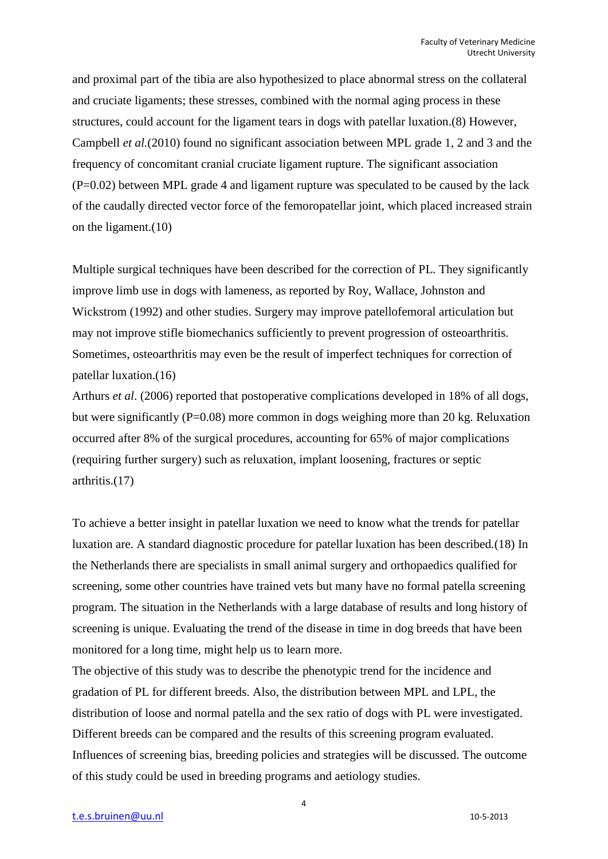and proximal part of the tibia are also hypothesized to place abnormal stress on the collateral and cruciate ligaments; these stresses, combined with the normal aging process in these structures, could account for the ligament tears in dogs with patellar luxation.(8) However, Campbell *et al.*(2010) found no significant association between MPL grade 1, 2 and 3 and the frequency of concomitant cranial cruciate ligament rupture. The significant association  $(P=0.02)$  between MPL grade 4 and ligament rupture was speculated to be caused by the lack of the caudally directed vector force of the femoropatellar joint, which placed increased strain on the ligament.(10)

Multiple surgical techniques have been described for the correction of PL. They significantly improve limb use in dogs with lameness, as reported by Roy, Wallace, Johnston and Wickstrom (1992) and other studies. Surgery may improve patellofemoral articulation but may not improve stifle biomechanics sufficiently to prevent progression of osteoarthritis. Sometimes, osteoarthritis may even be the result of imperfect techniques for correction of patellar luxation.(16)

Arthurs *et al*. (2006) reported that postoperative complications developed in 18% of all dogs, but were significantly (P=0.08) more common in dogs weighing more than 20 kg. Reluxation occurred after 8% of the surgical procedures, accounting for 65% of major complications (requiring further surgery) such as reluxation, implant loosening, fractures or septic arthritis.(17)

To achieve a better insight in patellar luxation we need to know what the trends for patellar luxation are. A standard diagnostic procedure for patellar luxation has been described.(18) In the Netherlands there are specialists in small animal surgery and orthopaedics qualified for screening, some other countries have trained vets but many have no formal patella screening program. The situation in the Netherlands with a large database of results and long history of screening is unique. Evaluating the trend of the disease in time in dog breeds that have been monitored for a long time, might help us to learn more.

The objective of this study was to describe the phenotypic trend for the incidence and gradation of PL for different breeds. Also, the distribution between MPL and LPL, the distribution of loose and normal patella and the sex ratio of dogs with PL were investigated. Different breeds can be compared and the results of this screening program evaluated. Influences of screening bias, breeding policies and strategies will be discussed. The outcome of this study could be used in breeding programs and aetiology studies.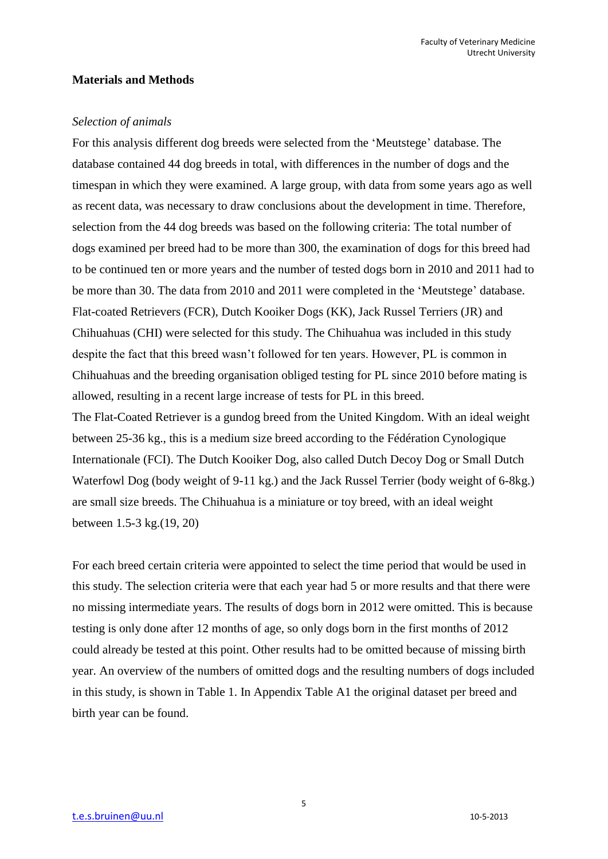#### **Materials and Methods**

#### *Selection of animals*

For this analysis different dog breeds were selected from the 'Meutstege' database. The database contained 44 dog breeds in total, with differences in the number of dogs and the timespan in which they were examined. A large group, with data from some years ago as well as recent data, was necessary to draw conclusions about the development in time. Therefore, selection from the 44 dog breeds was based on the following criteria: The total number of dogs examined per breed had to be more than 300, the examination of dogs for this breed had to be continued ten or more years and the number of tested dogs born in 2010 and 2011 had to be more than 30. The data from 2010 and 2011 were completed in the 'Meutstege' database. Flat-coated Retrievers (FCR), Dutch Kooiker Dogs (KK), Jack Russel Terriers (JR) and Chihuahuas (CHI) were selected for this study. The Chihuahua was included in this study despite the fact that this breed wasn't followed for ten years. However, PL is common in Chihuahuas and the breeding organisation obliged testing for PL since 2010 before mating is allowed, resulting in a recent large increase of tests for PL in this breed.

The Flat-Coated Retriever is a gundog breed from the United Kingdom. With an ideal weight between 25-36 kg., this is a medium size breed according to the Fédération Cynologique Internationale (FCI). The Dutch Kooiker Dog, also called Dutch Decoy Dog or Small Dutch Waterfowl Dog (body weight of 9-11 kg.) and the Jack Russel Terrier (body weight of 6-8kg.) are small size breeds. The Chihuahua is a miniature or toy breed, with an ideal weight between 1.5-3 kg.(19, 20)

For each breed certain criteria were appointed to select the time period that would be used in this study. The selection criteria were that each year had 5 or more results and that there were no missing intermediate years. The results of dogs born in 2012 were omitted. This is because testing is only done after 12 months of age, so only dogs born in the first months of 2012 could already be tested at this point. Other results had to be omitted because of missing birth year. An overview of the numbers of omitted dogs and the resulting numbers of dogs included in this study, is shown in Table 1. In Appendix Table A1 the original dataset per breed and birth year can be found.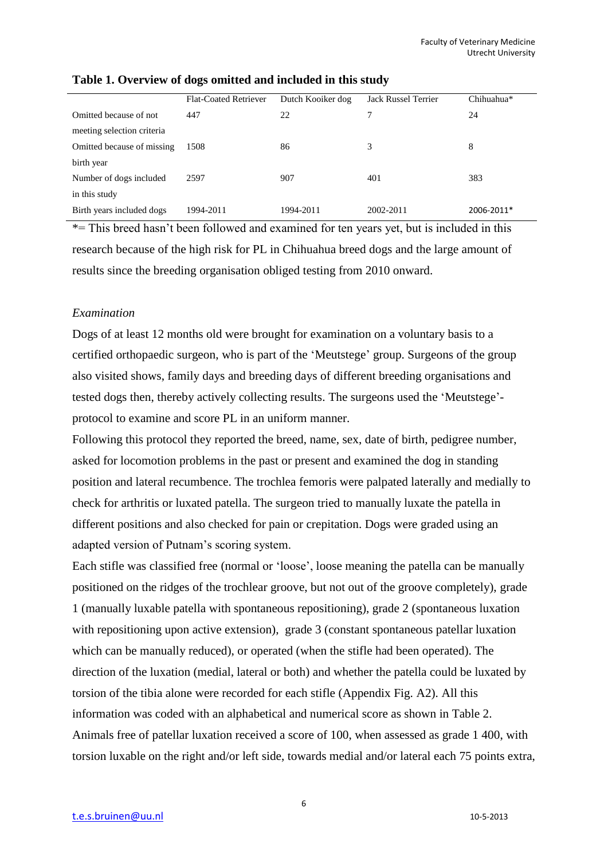|                            | Flat-Coated Retriever | Dutch Kooiker dog | <b>Jack Russel Terrier</b> | Chihuahua* |
|----------------------------|-----------------------|-------------------|----------------------------|------------|
| Omitted because of not     | 447                   | 22                | 7                          | 24         |
| meeting selection criteria |                       |                   |                            |            |
| Omitted because of missing | 1508                  | 86                | 3                          | 8          |
| birth year                 |                       |                   |                            |            |
| Number of dogs included    | 2597                  | 907               | 401                        | 383        |
| in this study              |                       |                   |                            |            |
| Birth years included dogs  | 1994-2011             | 1994-2011         | 2002-2011                  | 2006-2011* |

#### **Table 1. Overview of dogs omitted and included in this study**

\*= This breed hasn't been followed and examined for ten years yet, but is included in this research because of the high risk for PL in Chihuahua breed dogs and the large amount of results since the breeding organisation obliged testing from 2010 onward.

#### *Examination*

Dogs of at least 12 months old were brought for examination on a voluntary basis to a certified orthopaedic surgeon, who is part of the 'Meutstege' group. Surgeons of the group also visited shows, family days and breeding days of different breeding organisations and tested dogs then, thereby actively collecting results. The surgeons used the 'Meutstege' protocol to examine and score PL in an uniform manner.

Following this protocol they reported the breed, name, sex, date of birth, pedigree number, asked for locomotion problems in the past or present and examined the dog in standing position and lateral recumbence. The trochlea femoris were palpated laterally and medially to check for arthritis or luxated patella. The surgeon tried to manually luxate the patella in different positions and also checked for pain or crepitation. Dogs were graded using an adapted version of Putnam's scoring system.

Each stifle was classified free (normal or 'loose', loose meaning the patella can be manually positioned on the ridges of the trochlear groove, but not out of the groove completely), grade 1 (manually luxable patella with spontaneous repositioning), grade 2 (spontaneous luxation with repositioning upon active extension), grade 3 (constant spontaneous patellar luxation which can be manually reduced), or operated (when the stifle had been operated). The direction of the luxation (medial, lateral or both) and whether the patella could be luxated by torsion of the tibia alone were recorded for each stifle (Appendix Fig. A2). All this information was coded with an alphabetical and numerical score as shown in Table 2. Animals free of patellar luxation received a score of 100, when assessed as grade 1 400, with torsion luxable on the right and/or left side, towards medial and/or lateral each 75 points extra,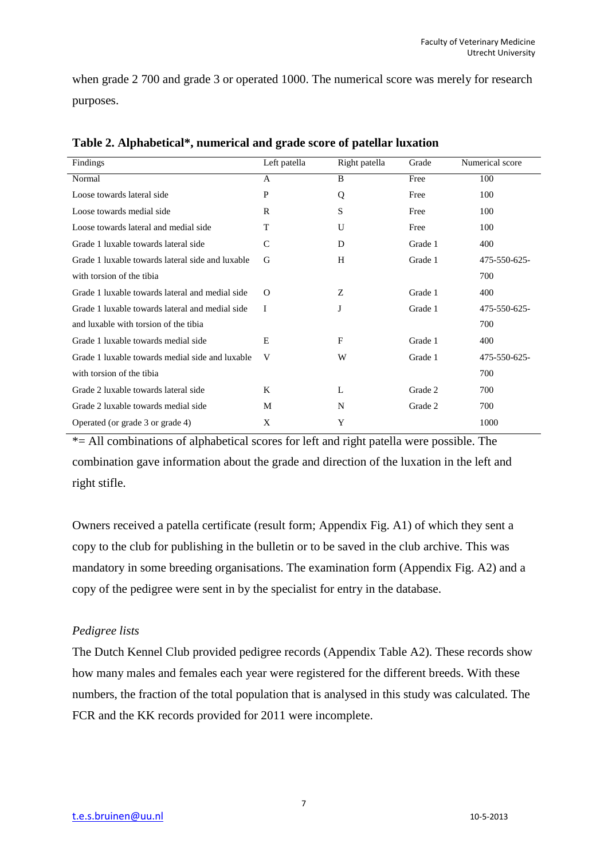when grade 2 700 and grade 3 or operated 1000. The numerical score was merely for research purposes.

| Findings                                         | Left patella | Right patella | Grade   | Numerical score |
|--------------------------------------------------|--------------|---------------|---------|-----------------|
| Normal                                           | A            | B             | Free    | 100             |
| Loose towards lateral side                       | P            | Q             | Free    | 100             |
| Loose towards medial side                        | R            | S             | Free    | 100             |
| Loose towards lateral and medial side            | T            | U             | Free    | 100             |
| Grade 1 luxable towards lateral side             | C            | D             | Grade 1 | 400             |
| Grade 1 luxable towards lateral side and luxable | G            | H             | Grade 1 | 475-550-625-    |
| with torsion of the tibia                        |              |               |         | 700             |
| Grade 1 luxable towards lateral and medial side  | $\Omega$     | Ζ             | Grade 1 | 400             |
| Grade 1 luxable towards lateral and medial side  | I            | J             | Grade 1 | 475-550-625-    |
| and luxable with torsion of the tibia            |              |               |         | 700             |
| Grade 1 luxable towards medial side              | E            | F             | Grade 1 | 400             |
| Grade 1 luxable towards medial side and luxable  | V            | W             | Grade 1 | 475-550-625-    |
| with torsion of the tibia                        |              |               |         | 700             |
| Grade 2 luxable towards lateral side             | K            | L             | Grade 2 | 700             |
| Grade 2 luxable towards medial side              | M            | N             | Grade 2 | 700             |
| Operated (or grade 3 or grade 4)                 | X            | Y             |         | 1000            |

**Table 2. Alphabetical\*, numerical and grade score of patellar luxation**

\*= All combinations of alphabetical scores for left and right patella were possible. The combination gave information about the grade and direction of the luxation in the left and right stifle.

Owners received a patella certificate (result form; Appendix Fig. A1) of which they sent a copy to the club for publishing in the bulletin or to be saved in the club archive. This was mandatory in some breeding organisations. The examination form (Appendix Fig. A2) and a copy of the pedigree were sent in by the specialist for entry in the database.

## *Pedigree lists*

The Dutch Kennel Club provided pedigree records (Appendix Table A2). These records show how many males and females each year were registered for the different breeds. With these numbers, the fraction of the total population that is analysed in this study was calculated. The FCR and the KK records provided for 2011 were incomplete.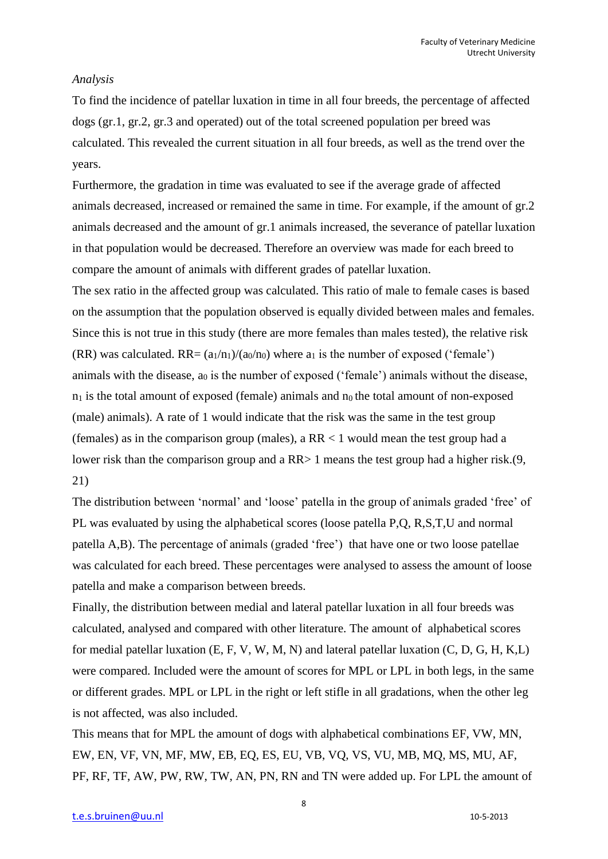#### *Analysis*

To find the incidence of patellar luxation in time in all four breeds, the percentage of affected dogs (gr.1, gr.2, gr.3 and operated) out of the total screened population per breed was calculated. This revealed the current situation in all four breeds, as well as the trend over the years.

Furthermore, the gradation in time was evaluated to see if the average grade of affected animals decreased, increased or remained the same in time. For example, if the amount of gr.2 animals decreased and the amount of gr.1 animals increased, the severance of patellar luxation in that population would be decreased. Therefore an overview was made for each breed to compare the amount of animals with different grades of patellar luxation.

The sex ratio in the affected group was calculated. This ratio of male to female cases is based on the assumption that the population observed is equally divided between males and females. Since this is not true in this study (there are more females than males tested), the relative risk (RR) was calculated. RR=  $(a_1/n_1)/(a_0/n_0)$  where  $a_1$  is the number of exposed ('female') animals with the disease,  $a_0$  is the number of exposed ('female') animals without the disease,  $n_1$  is the total amount of exposed (female) animals and  $n_0$  the total amount of non-exposed (male) animals). A rate of 1 would indicate that the risk was the same in the test group (females) as in the comparison group (males), a  $RR < 1$  would mean the test group had a lower risk than the comparison group and a RR $> 1$  means the test group had a higher risk.(9, 21)

The distribution between 'normal' and 'loose' patella in the group of animals graded 'free' of PL was evaluated by using the alphabetical scores (loose patella P,Q, R,S,T,U and normal patella A,B). The percentage of animals (graded 'free') that have one or two loose patellae was calculated for each breed. These percentages were analysed to assess the amount of loose patella and make a comparison between breeds.

Finally, the distribution between medial and lateral patellar luxation in all four breeds was calculated, analysed and compared with other literature. The amount of alphabetical scores for medial patellar luxation (E, F, V, W, M, N) and lateral patellar luxation (C, D, G, H, K,L) were compared. Included were the amount of scores for MPL or LPL in both legs, in the same or different grades. MPL or LPL in the right or left stifle in all gradations, when the other leg is not affected, was also included.

This means that for MPL the amount of dogs with alphabetical combinations EF, VW, MN, EW, EN, VF, VN, MF, MW, EB, EQ, ES, EU, VB, VQ, VS, VU, MB, MQ, MS, MU, AF, PF, RF, TF, AW, PW, RW, TW, AN, PN, RN and TN were added up. For LPL the amount of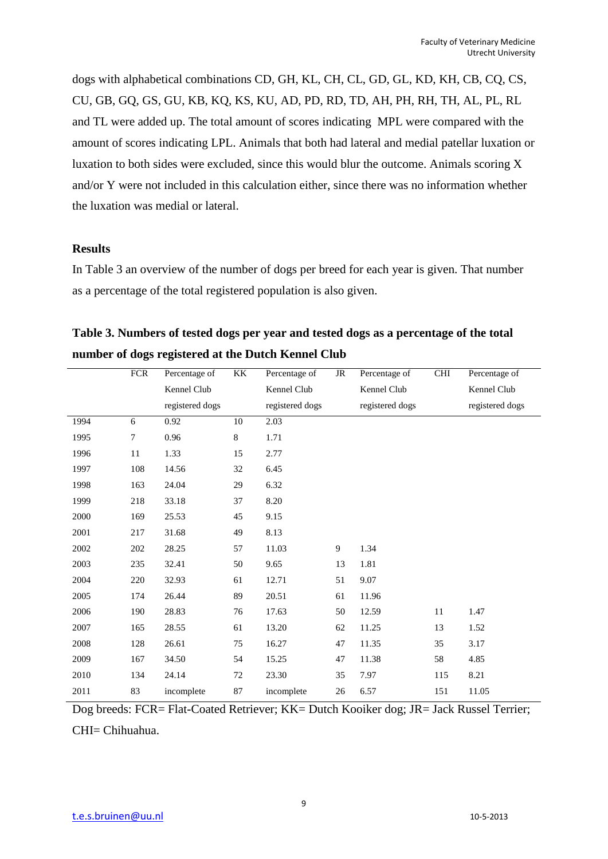dogs with alphabetical combinations CD, GH, KL, CH, CL, GD, GL, KD, KH, CB, CQ, CS, CU, GB, GQ, GS, GU, KB, KQ, KS, KU, AD, PD, RD, TD, AH, PH, RH, TH, AL, PL, RL and TL were added up. The total amount of scores indicating MPL were compared with the amount of scores indicating LPL. Animals that both had lateral and medial patellar luxation or luxation to both sides were excluded, since this would blur the outcome. Animals scoring X and/or Y were not included in this calculation either, since there was no information whether the luxation was medial or lateral.

#### **Results**

In Table 3 an overview of the number of dogs per breed for each year is given. That number as a percentage of the total registered population is also given.

| Table 3. Numbers of tested dogs per year and tested dogs as a percentage of the total |
|---------------------------------------------------------------------------------------|
| number of dogs registered at the Dutch Kennel Club                                    |

|      | <b>FCR</b> | Percentage of   | KK | Percentage of   | JR | Percentage of   | <b>CHI</b> | Percentage of   |
|------|------------|-----------------|----|-----------------|----|-----------------|------------|-----------------|
|      |            | Kennel Club     |    | Kennel Club     |    | Kennel Club     |            | Kennel Club     |
|      |            | registered dogs |    | registered dogs |    | registered dogs |            | registered dogs |
| 1994 | 6          | 0.92            | 10 | 2.03            |    |                 |            |                 |
| 1995 | 7          | 0.96            | 8  | 1.71            |    |                 |            |                 |
| 1996 | 11         | 1.33            | 15 | 2.77            |    |                 |            |                 |
| 1997 | 108        | 14.56           | 32 | 6.45            |    |                 |            |                 |
| 1998 | 163        | 24.04           | 29 | 6.32            |    |                 |            |                 |
| 1999 | 218        | 33.18           | 37 | 8.20            |    |                 |            |                 |
| 2000 | 169        | 25.53           | 45 | 9.15            |    |                 |            |                 |
| 2001 | 217        | 31.68           | 49 | 8.13            |    |                 |            |                 |
| 2002 | 202        | 28.25           | 57 | 11.03           | 9  | 1.34            |            |                 |
| 2003 | 235        | 32.41           | 50 | 9.65            | 13 | 1.81            |            |                 |
| 2004 | 220        | 32.93           | 61 | 12.71           | 51 | 9.07            |            |                 |
| 2005 | 174        | 26.44           | 89 | 20.51           | 61 | 11.96           |            |                 |
| 2006 | 190        | 28.83           | 76 | 17.63           | 50 | 12.59           | 11         | 1.47            |
| 2007 | 165        | 28.55           | 61 | 13.20           | 62 | 11.25           | 13         | 1.52            |
| 2008 | 128        | 26.61           | 75 | 16.27           | 47 | 11.35           | 35         | 3.17            |
| 2009 | 167        | 34.50           | 54 | 15.25           | 47 | 11.38           | 58         | 4.85            |
| 2010 | 134        | 24.14           | 72 | 23.30           | 35 | 7.97            | 115        | 8.21            |
| 2011 | 83         | incomplete      | 87 | incomplete      | 26 | 6.57            | 151        | 11.05           |
|      |            |                 |    |                 |    |                 |            |                 |

Dog breeds: FCR= Flat-Coated Retriever; KK= Dutch Kooiker dog; JR= Jack Russel Terrier; CHI= Chihuahua.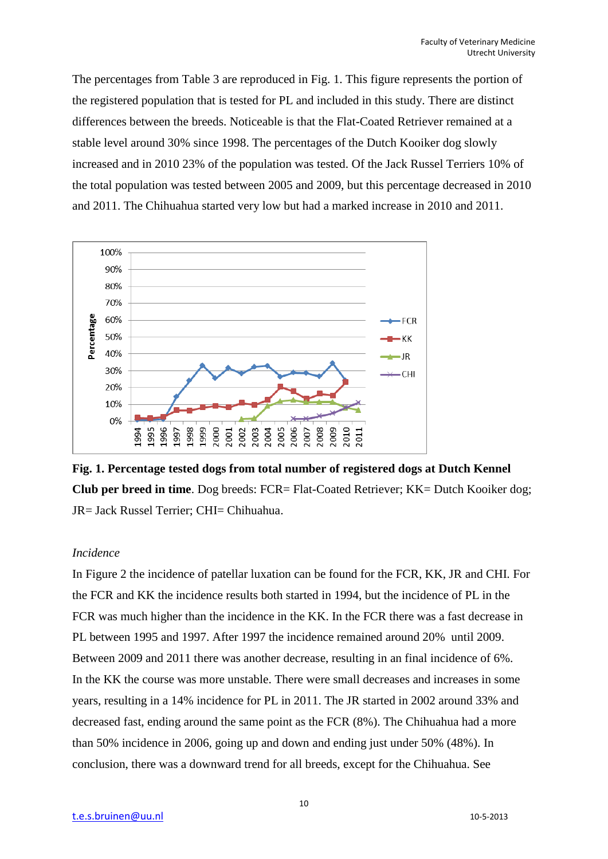The percentages from Table 3 are reproduced in Fig. 1. This figure represents the portion of the registered population that is tested for PL and included in this study. There are distinct differences between the breeds. Noticeable is that the Flat-Coated Retriever remained at a stable level around 30% since 1998. The percentages of the Dutch Kooiker dog slowly increased and in 2010 23% of the population was tested. Of the Jack Russel Terriers 10% of the total population was tested between 2005 and 2009, but this percentage decreased in 2010 and 2011. The Chihuahua started very low but had a marked increase in 2010 and 2011.



**Fig. 1. Percentage tested dogs from total number of registered dogs at Dutch Kennel Club per breed in time**. Dog breeds: FCR= Flat-Coated Retriever; KK= Dutch Kooiker dog; JR= Jack Russel Terrier; CHI= Chihuahua.

#### *Incidence*

In Figure 2 the incidence of patellar luxation can be found for the FCR, KK, JR and CHI. For the FCR and KK the incidence results both started in 1994, but the incidence of PL in the FCR was much higher than the incidence in the KK. In the FCR there was a fast decrease in PL between 1995 and 1997. After 1997 the incidence remained around 20% until 2009. Between 2009 and 2011 there was another decrease, resulting in an final incidence of 6%. In the KK the course was more unstable. There were small decreases and increases in some years, resulting in a 14% incidence for PL in 2011. The JR started in 2002 around 33% and decreased fast, ending around the same point as the FCR (8%). The Chihuahua had a more than 50% incidence in 2006, going up and down and ending just under 50% (48%). In conclusion, there was a downward trend for all breeds, except for the Chihuahua. See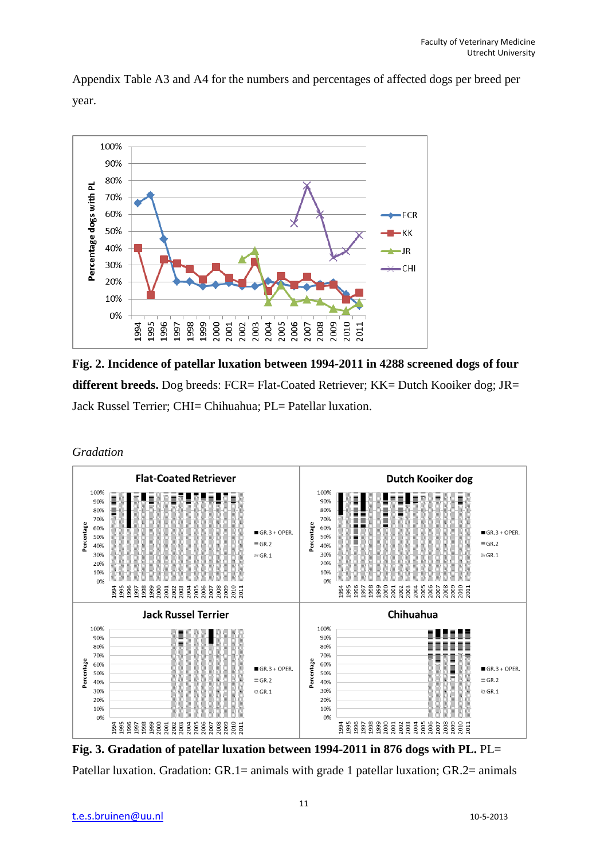

Appendix Table A3 and A4 for the numbers and percentages of affected dogs per breed per year.

**Fig. 2. Incidence of patellar luxation between 1994-2011 in 4288 screened dogs of four different breeds.** Dog breeds: FCR= Flat-Coated Retriever; KK= Dutch Kooiker dog; JR= Jack Russel Terrier; CHI= Chihuahua; PL= Patellar luxation.





**Fig. 3. Gradation of patellar luxation between 1994-2011 in 876 dogs with PL.** PL= Patellar luxation. Gradation: GR.1= animals with grade 1 patellar luxation; GR.2= animals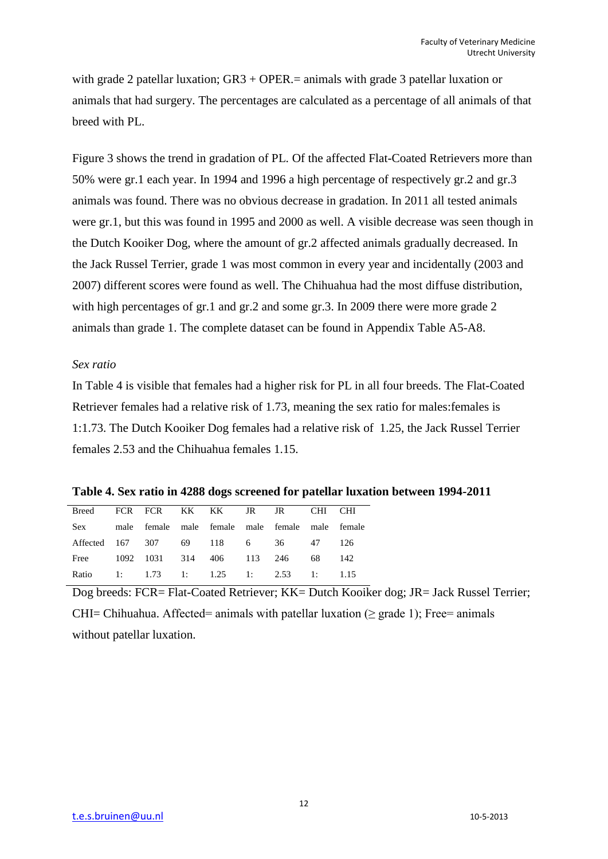with grade 2 patellar luxation;  $GR3 + OPER =$  animals with grade 3 patellar luxation or animals that had surgery. The percentages are calculated as a percentage of all animals of that breed with PL.

Figure 3 shows the trend in gradation of PL. Of the affected Flat-Coated Retrievers more than 50% were gr.1 each year. In 1994 and 1996 a high percentage of respectively gr.2 and gr.3 animals was found. There was no obvious decrease in gradation. In 2011 all tested animals were gr.1, but this was found in 1995 and 2000 as well. A visible decrease was seen though in the Dutch Kooiker Dog, where the amount of gr.2 affected animals gradually decreased. In the Jack Russel Terrier, grade 1 was most common in every year and incidentally (2003 and 2007) different scores were found as well. The Chihuahua had the most diffuse distribution, with high percentages of gr.1 and gr.2 and some gr.3. In 2009 there were more grade 2 animals than grade 1. The complete dataset can be found in Appendix Table A5-A8.

#### *Sex ratio*

In Table 4 is visible that females had a higher risk for PL in all four breeds. The Flat-Coated Retriever females had a relative risk of 1.73, meaning the sex ratio for males:females is 1:1.73. The Dutch Kooiker Dog females had a relative risk of 1.25, the Jack Russel Terrier females 2.53 and the Chihuahua females 1.15.

**Table 4. Sex ratio in 4288 dogs screened for patellar luxation between 1994-2011**

| Breed FCR FCR KK KK JR JR CHI CHI                   |  |  |  |  |
|-----------------------------------------------------|--|--|--|--|
| Sex male female male female male female male female |  |  |  |  |
| Affected 167 307 69 118 6 36 47 126                 |  |  |  |  |
| Free 1092 1031 314 406 113 246 68 142               |  |  |  |  |
| Ratio 1: 1.73 1: 1.25 1: 2.53 1: 1.15               |  |  |  |  |
|                                                     |  |  |  |  |

Dog breeds: FCR= Flat-Coated Retriever; KK= Dutch Kooiker dog; JR= Jack Russel Terrier; CHI= Chihuahua. Affected= animals with patellar luxation ( $\geq$  grade 1); Free= animals without patellar luxation.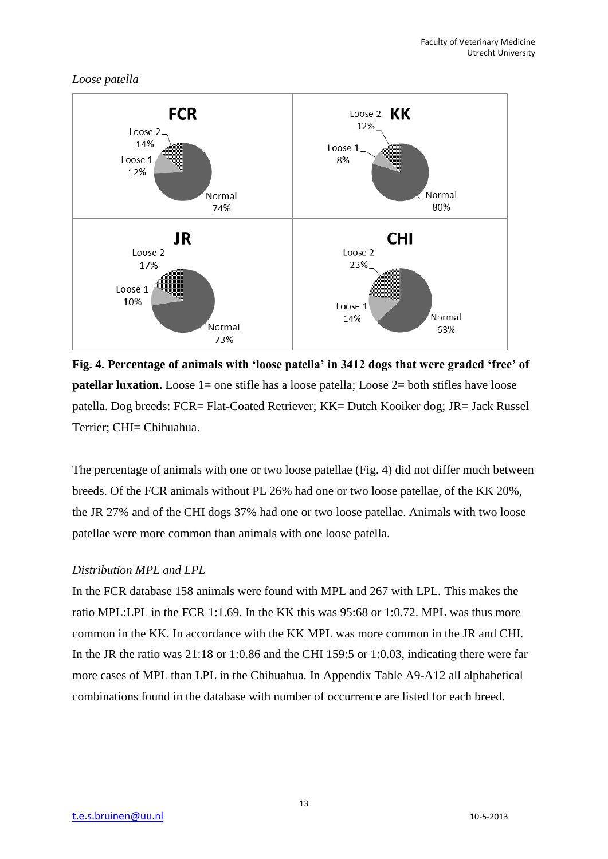## *Loose patella*



**Fig. 4. Percentage of animals with 'loose patella' in 3412 dogs that were graded 'free' of patellar luxation.** Loose 1= one stifle has a loose patella; Loose 2= both stifles have loose patella. Dog breeds: FCR= Flat-Coated Retriever; KK= Dutch Kooiker dog; JR= Jack Russel Terrier; CHI= Chihuahua.

The percentage of animals with one or two loose patellae (Fig. 4) did not differ much between breeds. Of the FCR animals without PL 26% had one or two loose patellae, of the KK 20%, the JR 27% and of the CHI dogs 37% had one or two loose patellae. Animals with two loose patellae were more common than animals with one loose patella.

## *Distribution MPL and LPL*

In the FCR database 158 animals were found with MPL and 267 with LPL. This makes the ratio MPL:LPL in the FCR 1:1.69. In the KK this was 95:68 or 1:0.72. MPL was thus more common in the KK. In accordance with the KK MPL was more common in the JR and CHI. In the JR the ratio was 21:18 or 1:0.86 and the CHI 159:5 or 1:0.03, indicating there were far more cases of MPL than LPL in the Chihuahua. In Appendix Table A9-A12 all alphabetical combinations found in the database with number of occurrence are listed for each breed.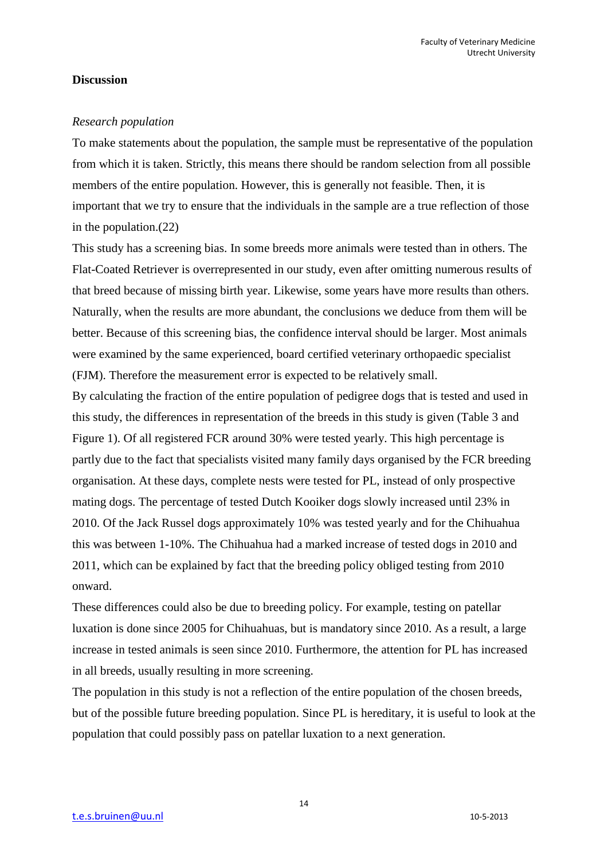#### **Discussion**

#### *Research population*

To make statements about the population, the sample must be representative of the population from which it is taken. Strictly, this means there should be random selection from all possible members of the entire population. However, this is generally not feasible. Then, it is important that we try to ensure that the individuals in the sample are a true reflection of those in the population.(22)

This study has a screening bias. In some breeds more animals were tested than in others. The Flat-Coated Retriever is overrepresented in our study, even after omitting numerous results of that breed because of missing birth year. Likewise, some years have more results than others. Naturally, when the results are more abundant, the conclusions we deduce from them will be better. Because of this screening bias, the confidence interval should be larger. Most animals were examined by the same experienced, board certified veterinary orthopaedic specialist (FJM). Therefore the measurement error is expected to be relatively small.

By calculating the fraction of the entire population of pedigree dogs that is tested and used in this study, the differences in representation of the breeds in this study is given (Table 3 and Figure 1). Of all registered FCR around 30% were tested yearly. This high percentage is partly due to the fact that specialists visited many family days organised by the FCR breeding organisation. At these days, complete nests were tested for PL, instead of only prospective mating dogs. The percentage of tested Dutch Kooiker dogs slowly increased until 23% in 2010. Of the Jack Russel dogs approximately 10% was tested yearly and for the Chihuahua this was between 1-10%. The Chihuahua had a marked increase of tested dogs in 2010 and 2011, which can be explained by fact that the breeding policy obliged testing from 2010 onward.

These differences could also be due to breeding policy. For example, testing on patellar luxation is done since 2005 for Chihuahuas, but is mandatory since 2010. As a result, a large increase in tested animals is seen since 2010. Furthermore, the attention for PL has increased in all breeds, usually resulting in more screening.

The population in this study is not a reflection of the entire population of the chosen breeds, but of the possible future breeding population. Since PL is hereditary, it is useful to look at the population that could possibly pass on patellar luxation to a next generation.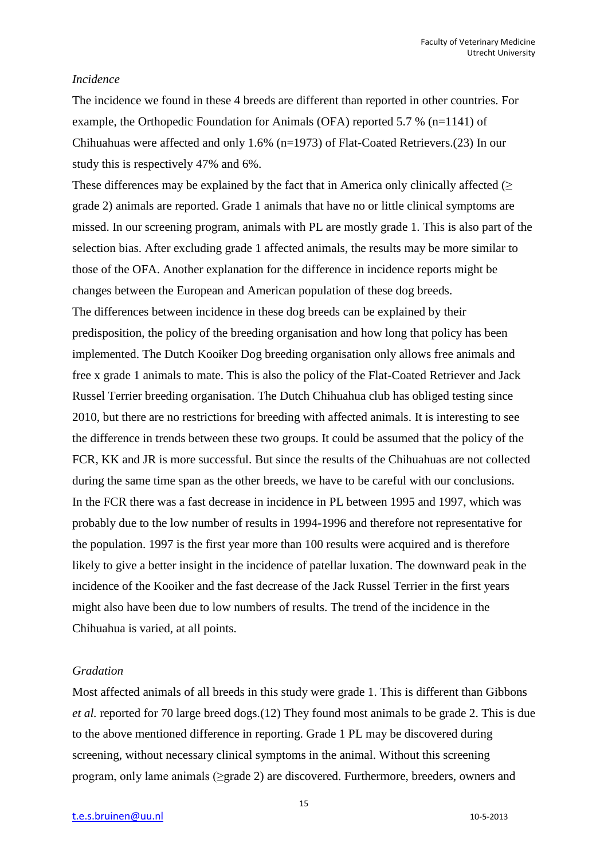#### *Incidence*

The incidence we found in these 4 breeds are different than reported in other countries. For example, the Orthopedic Foundation for Animals (OFA) reported 5.7 % (n=1141) of Chihuahuas were affected and only 1.6% (n=1973) of Flat-Coated Retrievers.(23) In our study this is respectively 47% and 6%.

These differences may be explained by the fact that in America only clinically affected  $($   $>$ grade 2) animals are reported. Grade 1 animals that have no or little clinical symptoms are missed. In our screening program, animals with PL are mostly grade 1. This is also part of the selection bias. After excluding grade 1 affected animals, the results may be more similar to those of the OFA. Another explanation for the difference in incidence reports might be changes between the European and American population of these dog breeds. The differences between incidence in these dog breeds can be explained by their predisposition, the policy of the breeding organisation and how long that policy has been implemented. The Dutch Kooiker Dog breeding organisation only allows free animals and free x grade 1 animals to mate. This is also the policy of the Flat-Coated Retriever and Jack Russel Terrier breeding organisation. The Dutch Chihuahua club has obliged testing since 2010, but there are no restrictions for breeding with affected animals. It is interesting to see the difference in trends between these two groups. It could be assumed that the policy of the FCR, KK and JR is more successful. But since the results of the Chihuahuas are not collected during the same time span as the other breeds, we have to be careful with our conclusions. In the FCR there was a fast decrease in incidence in PL between 1995 and 1997, which was probably due to the low number of results in 1994-1996 and therefore not representative for the population. 1997 is the first year more than 100 results were acquired and is therefore likely to give a better insight in the incidence of patellar luxation. The downward peak in the incidence of the Kooiker and the fast decrease of the Jack Russel Terrier in the first years might also have been due to low numbers of results. The trend of the incidence in the Chihuahua is varied, at all points.

#### *Gradation*

Most affected animals of all breeds in this study were grade 1. This is different than Gibbons *et al.* reported for 70 large breed dogs.(12) They found most animals to be grade 2. This is due to the above mentioned difference in reporting. Grade 1 PL may be discovered during screening, without necessary clinical symptoms in the animal. Without this screening program, only lame animals (≥grade 2) are discovered. Furthermore, breeders, owners and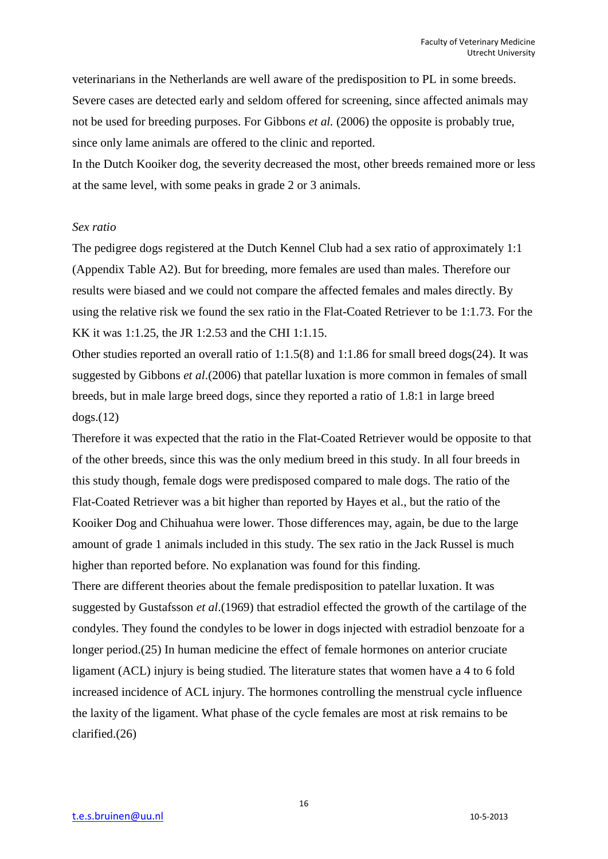veterinarians in the Netherlands are well aware of the predisposition to PL in some breeds. Severe cases are detected early and seldom offered for screening, since affected animals may not be used for breeding purposes. For Gibbons *et al.* (2006) the opposite is probably true, since only lame animals are offered to the clinic and reported.

In the Dutch Kooiker dog, the severity decreased the most, other breeds remained more or less at the same level, with some peaks in grade 2 or 3 animals.

#### *Sex ratio*

The pedigree dogs registered at the Dutch Kennel Club had a sex ratio of approximately 1:1 (Appendix Table A2). But for breeding, more females are used than males. Therefore our results were biased and we could not compare the affected females and males directly. By using the relative risk we found the sex ratio in the Flat-Coated Retriever to be 1:1.73. For the KK it was 1:1.25, the JR 1:2.53 and the CHI 1:1.15.

Other studies reported an overall ratio of 1:1.5(8) and 1:1.86 for small breed dogs(24). It was suggested by Gibbons *et al*.(2006) that patellar luxation is more common in females of small breeds, but in male large breed dogs, since they reported a ratio of 1.8:1 in large breed dogs.(12)

Therefore it was expected that the ratio in the Flat-Coated Retriever would be opposite to that of the other breeds, since this was the only medium breed in this study. In all four breeds in this study though, female dogs were predisposed compared to male dogs. The ratio of the Flat-Coated Retriever was a bit higher than reported by Hayes et al., but the ratio of the Kooiker Dog and Chihuahua were lower. Those differences may, again, be due to the large amount of grade 1 animals included in this study. The sex ratio in the Jack Russel is much higher than reported before. No explanation was found for this finding.

There are different theories about the female predisposition to patellar luxation. It was suggested by Gustafsson *et al*.(1969) that estradiol effected the growth of the cartilage of the condyles. They found the condyles to be lower in dogs injected with estradiol benzoate for a longer period.(25) In human medicine the effect of female hormones on anterior cruciate ligament (ACL) injury is being studied. The literature states that women have a 4 to 6 fold increased incidence of ACL injury. The hormones controlling the menstrual cycle influence the laxity of the ligament. What phase of the cycle females are most at risk remains to be clarified.(26)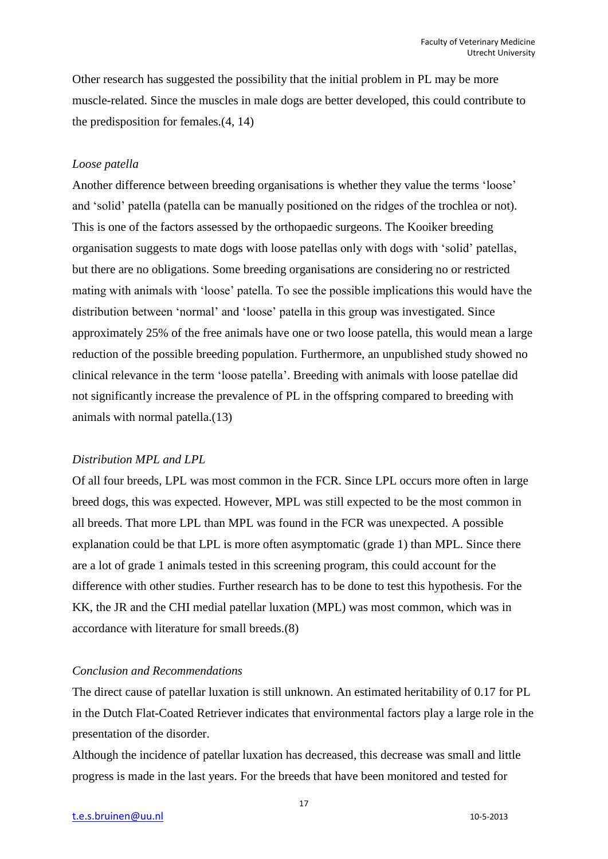Other research has suggested the possibility that the initial problem in PL may be more muscle-related. Since the muscles in male dogs are better developed, this could contribute to the predisposition for females.(4, 14)

#### *Loose patella*

Another difference between breeding organisations is whether they value the terms 'loose' and 'solid' patella (patella can be manually positioned on the ridges of the trochlea or not). This is one of the factors assessed by the orthopaedic surgeons. The Kooiker breeding organisation suggests to mate dogs with loose patellas only with dogs with 'solid' patellas, but there are no obligations. Some breeding organisations are considering no or restricted mating with animals with 'loose' patella. To see the possible implications this would have the distribution between 'normal' and 'loose' patella in this group was investigated. Since approximately 25% of the free animals have one or two loose patella, this would mean a large reduction of the possible breeding population. Furthermore, an unpublished study showed no clinical relevance in the term 'loose patella'. Breeding with animals with loose patellae did not significantly increase the prevalence of PL in the offspring compared to breeding with animals with normal patella.(13)

#### *Distribution MPL and LPL*

Of all four breeds, LPL was most common in the FCR. Since LPL occurs more often in large breed dogs, this was expected. However, MPL was still expected to be the most common in all breeds. That more LPL than MPL was found in the FCR was unexpected. A possible explanation could be that LPL is more often asymptomatic (grade 1) than MPL. Since there are a lot of grade 1 animals tested in this screening program, this could account for the difference with other studies. Further research has to be done to test this hypothesis. For the KK, the JR and the CHI medial patellar luxation (MPL) was most common, which was in accordance with literature for small breeds.(8)

#### *Conclusion and Recommendations*

The direct cause of patellar luxation is still unknown. An estimated heritability of 0.17 for PL in the Dutch Flat-Coated Retriever indicates that environmental factors play a large role in the presentation of the disorder.

Although the incidence of patellar luxation has decreased, this decrease was small and little progress is made in the last years. For the breeds that have been monitored and tested for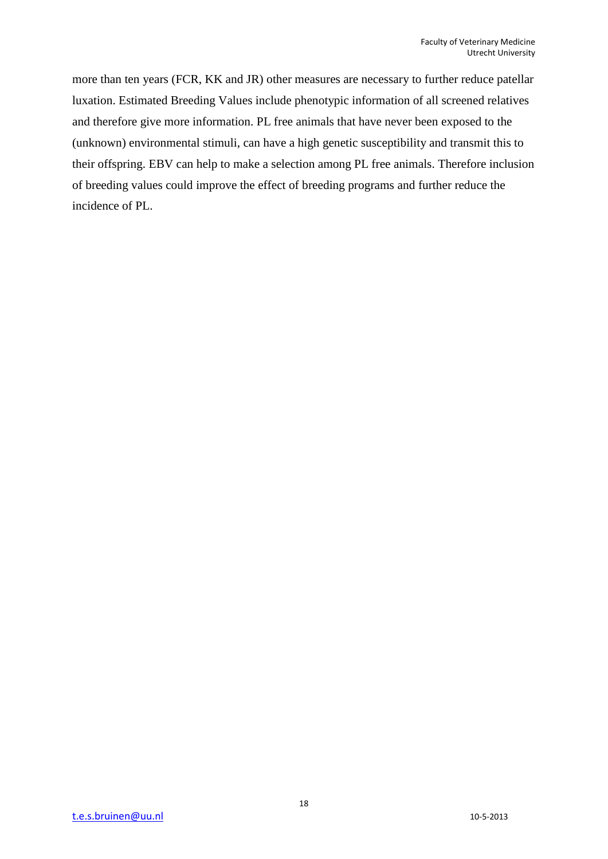more than ten years (FCR, KK and JR) other measures are necessary to further reduce patellar luxation. Estimated Breeding Values include phenotypic information of all screened relatives and therefore give more information. PL free animals that have never been exposed to the (unknown) environmental stimuli, can have a high genetic susceptibility and transmit this to their offspring. EBV can help to make a selection among PL free animals. Therefore inclusion of breeding values could improve the effect of breeding programs and further reduce the incidence of PL.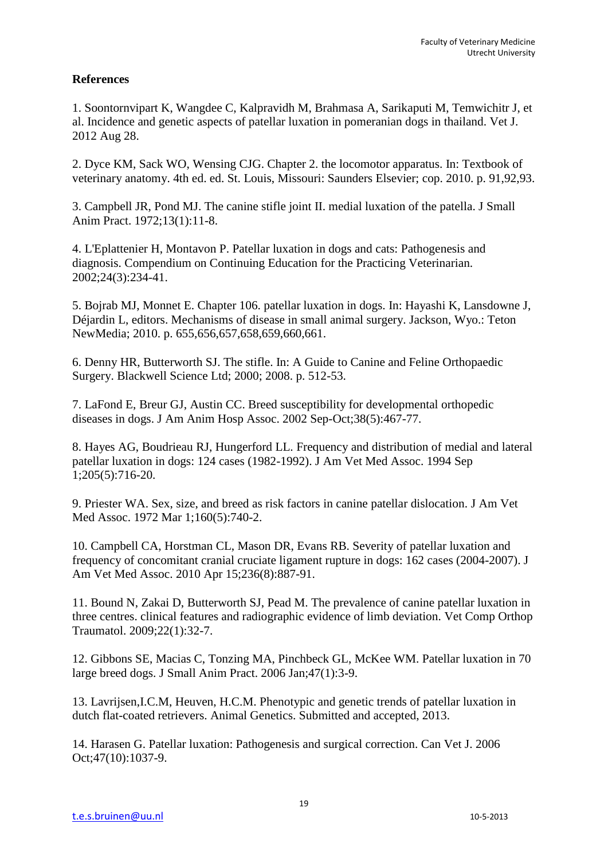## **References**

1. Soontornvipart K, Wangdee C, Kalpravidh M, Brahmasa A, Sarikaputi M, Temwichitr J, et al. Incidence and genetic aspects of patellar luxation in pomeranian dogs in thailand. Vet J. 2012 Aug 28.

2. Dyce KM, Sack WO, Wensing CJG. Chapter 2. the locomotor apparatus. In: Textbook of veterinary anatomy. 4th ed. ed. St. Louis, Missouri: Saunders Elsevier; cop. 2010. p. 91,92,93.

3. Campbell JR, Pond MJ. The canine stifle joint II. medial luxation of the patella. J Small Anim Pract. 1972;13(1):11-8.

4. L'Eplattenier H, Montavon P. Patellar luxation in dogs and cats: Pathogenesis and diagnosis. Compendium on Continuing Education for the Practicing Veterinarian. 2002;24(3):234-41.

5. Bojrab MJ, Monnet E. Chapter 106. patellar luxation in dogs. In: Hayashi K, Lansdowne J, Déjardin L, editors. Mechanisms of disease in small animal surgery. Jackson, Wyo.: Teton NewMedia; 2010. p. 655,656,657,658,659,660,661.

6. Denny HR, Butterworth SJ. The stifle. In: A Guide to Canine and Feline Orthopaedic Surgery. Blackwell Science Ltd; 2000; 2008. p. 512-53.

7. LaFond E, Breur GJ, Austin CC. Breed susceptibility for developmental orthopedic diseases in dogs. J Am Anim Hosp Assoc. 2002 Sep-Oct;38(5):467-77.

8. Hayes AG, Boudrieau RJ, Hungerford LL. Frequency and distribution of medial and lateral patellar luxation in dogs: 124 cases (1982-1992). J Am Vet Med Assoc. 1994 Sep 1;205(5):716-20.

9. Priester WA. Sex, size, and breed as risk factors in canine patellar dislocation. J Am Vet Med Assoc. 1972 Mar 1;160(5):740-2.

10. Campbell CA, Horstman CL, Mason DR, Evans RB. Severity of patellar luxation and frequency of concomitant cranial cruciate ligament rupture in dogs: 162 cases (2004-2007). J Am Vet Med Assoc. 2010 Apr 15;236(8):887-91.

11. Bound N, Zakai D, Butterworth SJ, Pead M. The prevalence of canine patellar luxation in three centres. clinical features and radiographic evidence of limb deviation. Vet Comp Orthop Traumatol. 2009;22(1):32-7.

12. Gibbons SE, Macias C, Tonzing MA, Pinchbeck GL, McKee WM. Patellar luxation in 70 large breed dogs. J Small Anim Pract. 2006 Jan;47(1):3-9.

13. Lavrijsen,I.C.M, Heuven, H.C.M. Phenotypic and genetic trends of patellar luxation in dutch flat-coated retrievers. Animal Genetics. Submitted and accepted, 2013.

14. Harasen G. Patellar luxation: Pathogenesis and surgical correction. Can Vet J. 2006 Oct;47(10):1037-9.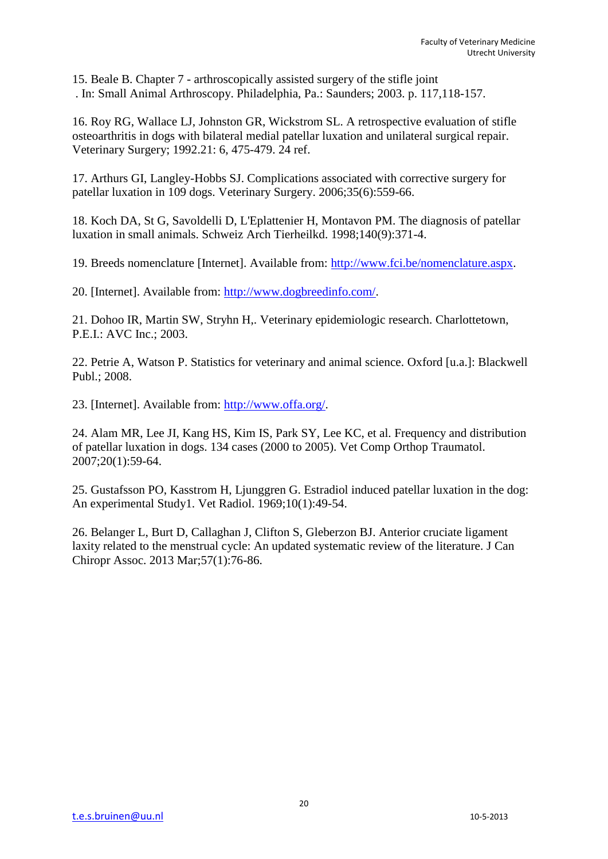15. Beale B. Chapter 7 - arthroscopically assisted surgery of the stifle joint . In: Small Animal Arthroscopy. Philadelphia, Pa.: Saunders; 2003. p. 117,118-157.

16. Roy RG, Wallace LJ, Johnston GR, Wickstrom SL. A retrospective evaluation of stifle osteoarthritis in dogs with bilateral medial patellar luxation and unilateral surgical repair. Veterinary Surgery; 1992.21: 6, 475-479. 24 ref.

17. Arthurs GI, Langley-Hobbs SJ. Complications associated with corrective surgery for patellar luxation in 109 dogs. Veterinary Surgery. 2006;35(6):559-66.

18. Koch DA, St G, Savoldelli D, L'Eplattenier H, Montavon PM. The diagnosis of patellar luxation in small animals. Schweiz Arch Tierheilkd. 1998;140(9):371-4.

19. Breeds nomenclature [Internet]. Available from: [http://www.fci.be/nomenclature.aspx.](http://www.fci.be/nomenclature.aspx)

20. [Internet]. Available from: [http://www.dogbreedinfo.com/.](http://www.dogbreedinfo.com/)

21. Dohoo IR, Martin SW, Stryhn H,. Veterinary epidemiologic research. Charlottetown, P.E.I.: AVC Inc.; 2003.

22. Petrie A, Watson P. Statistics for veterinary and animal science. Oxford [u.a.]: Blackwell Publ.; 2008.

23. [Internet]. Available from: [http://www.offa.org/.](http://www.offa.org/)

24. Alam MR, Lee JI, Kang HS, Kim IS, Park SY, Lee KC, et al. Frequency and distribution of patellar luxation in dogs. 134 cases (2000 to 2005). Vet Comp Orthop Traumatol. 2007;20(1):59-64.

25. Gustafsson PO, Kasstrom H, Ljunggren G. Estradiol induced patellar luxation in the dog: An experimental Study1. Vet Radiol. 1969;10(1):49-54.

26. Belanger L, Burt D, Callaghan J, Clifton S, Gleberzon BJ. Anterior cruciate ligament laxity related to the menstrual cycle: An updated systematic review of the literature. J Can Chiropr Assoc. 2013 Mar;57(1):76-86.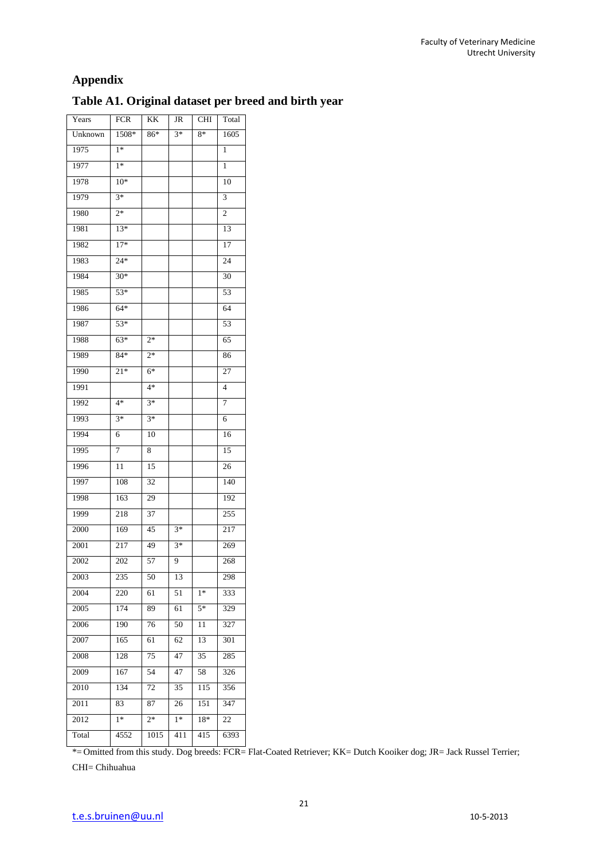## **Appendix**

## **Table A1. Original dataset per breed and birth year**

| Years   | <b>FCR</b> | KK   | JR   | <b>CHI</b> | Total           |
|---------|------------|------|------|------------|-----------------|
| Unknown | 1508*      | 86*  | $3*$ | 8*         | 1605            |
| 1975    | $1*$       |      |      |            | 1               |
| 1977    | $1*$       |      |      |            | 1               |
| 1978    | $10*$      |      |      |            | 10              |
| 1979    | $3*$       |      |      |            | 3               |
| 1980    | $2*$       |      |      |            | 2               |
| 1981    | $13*$      |      |      |            | 13              |
| 1982    | $17*$      |      |      |            | 17              |
| 1983    | $24*$      |      |      |            | 24              |
| 1984    | $30*$      |      |      |            | 30              |
| 1985    | $53*$      |      |      |            | 53              |
| 1986    | $64*$      |      |      |            | 64              |
| 1987    | 53*        |      |      |            | 53              |
| 1988    | $63*$      | $2*$ |      |            | 65              |
| 1989    | 84*        | $2*$ |      |            | 86              |
| 1990    | 21*        | $6*$ |      |            | 27              |
| 1991    |            | $4*$ |      |            | 4               |
| 1992    | 4*         | $3*$ |      |            | 7               |
| 1993    | $3*$       | $3*$ |      |            | 6               |
| 1994    | 6          | 10   |      |            | 16              |
| 1995    | 7          | 8    |      |            | $\overline{15}$ |
| 1996    | 11         | 15   |      |            | 26              |
| 1997    | 108        | 32   |      |            | 140             |
| 1998    | 163        | 29   |      |            | 192             |
| 1999    | 218        | 37   |      |            | 255             |
| 2000    | 169        | 45   | $3*$ |            | 217             |
| 2001    | 217        | 49   | $3*$ |            | 269             |
| 2002    | 202        | 57   | 9    |            | 268             |
| 2003    | 235        | 50   | 13   |            | 298             |
| 2004    | 220        | 61   | 51   | $1*$       | 333             |
| 2005    | 174        | 89   | 61   | 5*         | 329             |
| 2006    | 190        | 76   | 50   | 11         | 327             |
| 2007    | 165        | 61   | 62   | 13         | 301             |
| 2008    | 128        | 75   | 47   | 35         | 285             |
| 2009    | 167        | 54   | 47   | 58         | 326             |
| 2010    | 134        | 72   | 35   | 115        | 356             |
| 2011    | 83         | 87   | 26   | 151        | 347             |
| 2012    | $1*$       | $2*$ | $1*$ | 18*        | 22              |
| Total   | 4552       | 1015 | 411  | 415        | 6393            |

\*= Omitted from this study. Dog breeds: FCR= Flat-Coated Retriever; KK= Dutch Kooiker dog; JR= Jack Russel Terrier;

CHI= Chihuahua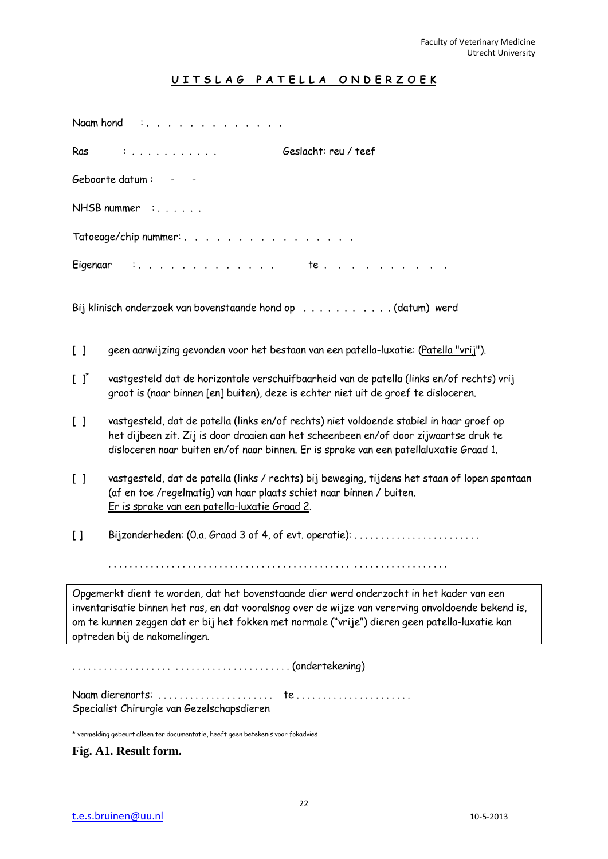## **U I T S L A G P A T E L L A O N D E R Z O E K**

|                                                 | Naam hond :                                                                                                                                                                                                                                                                                                                          |  |  |  |  |  |
|-------------------------------------------------|--------------------------------------------------------------------------------------------------------------------------------------------------------------------------------------------------------------------------------------------------------------------------------------------------------------------------------------|--|--|--|--|--|
| Ras                                             | Geslacht: reu / teef<br>$\mathbb{C}$                                                                                                                                                                                                                                                                                                 |  |  |  |  |  |
|                                                 | Geboorte datum: - -                                                                                                                                                                                                                                                                                                                  |  |  |  |  |  |
|                                                 | $NHSB$ nummer :                                                                                                                                                                                                                                                                                                                      |  |  |  |  |  |
|                                                 | Tatoeage/chip nummer:                                                                                                                                                                                                                                                                                                                |  |  |  |  |  |
|                                                 |                                                                                                                                                                                                                                                                                                                                      |  |  |  |  |  |
|                                                 | Bij klinisch onderzoek van bovenstaande hond op (datum) werd                                                                                                                                                                                                                                                                         |  |  |  |  |  |
| $\begin{bmatrix} 1 \end{bmatrix}$               | geen aanwijzing gevonden voor het bestaan van een patella-luxatie: (Patella "vrij").                                                                                                                                                                                                                                                 |  |  |  |  |  |
| $\left[ \begin{array}{c} 1 \end{array} \right]$ | vastgesteld dat de horizontale verschuifbaarheid van de patella (links en/of rechts) vrij<br>groot is (naar binnen [en] buiten), deze is echter niet uit de groef te disloceren.                                                                                                                                                     |  |  |  |  |  |
| $\begin{bmatrix} 1 \end{bmatrix}$               | vastgesteld, dat de patella (links en/of rechts) niet voldoende stabiel in haar groef op<br>het dijbeen zit. Zij is door draaien aan het scheenbeen en/of door zijwaartse druk te<br>disloceren naar buiten en/of naar binnen. Er is sprake van een patellaluxatie Graad 1.                                                          |  |  |  |  |  |
| $\begin{bmatrix} 1 \end{bmatrix}$               | vastgesteld, dat de patella (links / rechts) bij beweging, tijdens het staan of lopen spontaan<br>(af en toe /regelmatig) van haar plaats schiet naar binnen / buiten.<br>Er is sprake van een patella-luxatie Graad 2.                                                                                                              |  |  |  |  |  |
| $\begin{bmatrix} 1 \end{bmatrix}$               | Bijzonderheden: (0.a. Graad 3 of 4, of evt. operatie):                                                                                                                                                                                                                                                                               |  |  |  |  |  |
|                                                 |                                                                                                                                                                                                                                                                                                                                      |  |  |  |  |  |
|                                                 | Opgemerkt dient te worden, dat het bovenstaande dier werd onderzocht in het kader van een<br>inventarisatie binnen het ras, en dat vooralsnog over de wijze van vererving onvoldoende bekend is,<br>om te kunnen zeggen dat er bij het fokken met normale ("vrije") dieren geen patella-luxatie kan<br>optreden bij de nakomelingen. |  |  |  |  |  |
|                                                 |                                                                                                                                                                                                                                                                                                                                      |  |  |  |  |  |
| Specialist Chirurgie van Gezelschapsdieren      |                                                                                                                                                                                                                                                                                                                                      |  |  |  |  |  |

\* vermelding gebeurt alleen ter documentatie, heeft geen betekenis voor fokadvies

**Fig. A1. Result form.**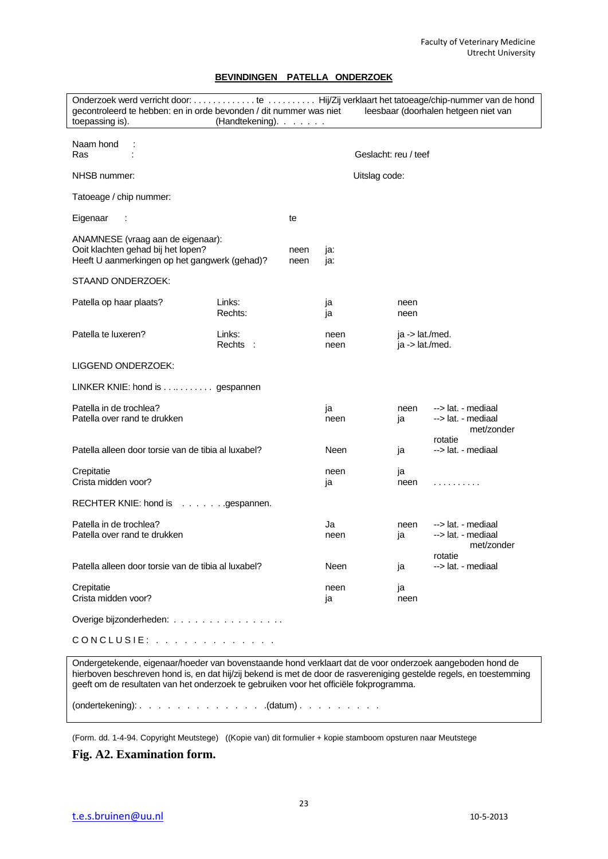#### **BEVINDINGEN PATELLA ONDERZOEK**

Onderzoek werd verricht door: . . . . . . . . . . . . . te . . . . . . . . . . Hij/Zij verklaart het tatoeage/chip-nummer van de hond gecontroleerd te hebben: en in orde bevonden / dit nummer was niet leesbaar (doorhalen hetgeen niet van toepassing is). (Handtekening). . . . . . . Naam hond : Ras : Geslacht: reu / teef NHSB nummer:<br>
Uitslag code: Tatoeage / chip nummer: Eigenaar : te ANAMNESE (vraag aan de eigenaar): Ooit klachten gehad bij het lopen? The meen ja: Heeft U aanmerkingen op het gangwerk (gehad)? neen ja: STAAND ONDERZOEK: Patella op haar plaats? Links: ja neen Rechts: ia ia neen Patella te luxeren? Links: heen ja -> lat./med. Rechts : neen ja -> lat./med. LIGGEND ONDERZOEK: LINKER KNIE: hond is . . .. . . . . . . . gespannen Patella in de trochlea?<br>
Patella over rand te drukken is a new states of the contract of the mediaal patella over rand te drukken is a<br>
Patella over rand te drukken is a state of the contract of the contract of the mediaal Patella over rand te drukken met/zonder rotatie Patella alleen door torsie van de tibia al luxabel? Neen ja --> lat. - mediaal Crepitatie is a controlled by the controlled problem is a controlled by the neen in a ja Crista midden voor? is a neen in the state of the state of the state of the state of the state of the state of the state of the state of the state of the state of the state of the state of the state of the state of the sta RECHTER KNIE: hond is . . . . . . .gespannen. Patella in de trochlea?<br>
Patella over rand te drukken and the state of the state of the state of the neediaal neediaal control of the mediaal neediaal neediaal neediaal neediaal neediaal neediaal neediaal neediaal neediaal Patella over rand te drukken neen intervalsion over het meen intervalsion is a ------------------------------met/zonder rotatie Patella alleen door torsie van de tibia al luxabel? Neen is a versien van de tat. - mediaal Crepitatie is a controlled by the controlled by the controlled by the controlled by the controlled by the controlled by the controlled by the controlled by the controlled by the controlled by the controlled by the controll Crista midden voor? ja neen voor van die verskilling van die verskilling van die verskilling van die verskilling van die verskilling van die verskilling van die verskilling van die verskilling van die verskilling van die v Overige bijzonderheden: . . . . . . . . . . . . . . . . . . CONCLUSIE: . . . . . . . . . . . . Ondergetekende, eigenaar/hoeder van bovenstaande hond verklaart dat de voor onderzoek aangeboden hond de

hierboven beschreven hond is, en dat hij/zij bekend is met de door de rasvereniging gestelde regels, en toestemming geeft om de resultaten van het onderzoek te gebruiken voor het officiële fokprogramma.

(ondertekening): . . . . . . . . . . . . . .(datum) . . . . . . . . .

(Form. dd. 1-4-94. Copyright Meutstege) ((Kopie van) dit formulier + kopie stamboom opsturen naar Meutstege

**Fig. A2. Examination form.**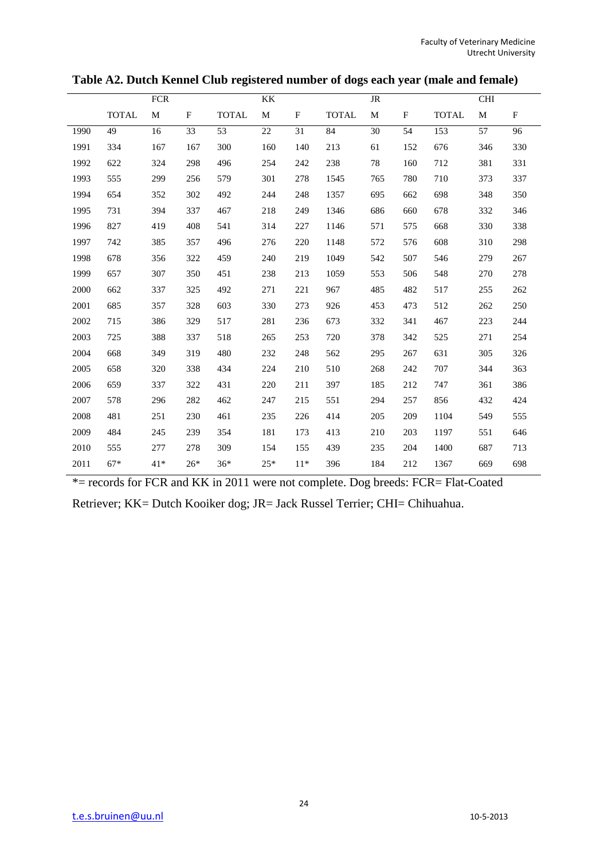|      |              | FCR   |              |              | KK          |             |              | <b>JR</b> |              |              | <b>CHI</b>      |             |
|------|--------------|-------|--------------|--------------|-------------|-------------|--------------|-----------|--------------|--------------|-----------------|-------------|
|      | <b>TOTAL</b> | M     | $\mathbf{F}$ | <b>TOTAL</b> | $\mathbf M$ | $\mathbf F$ | <b>TOTAL</b> | M         | $\mathbf{F}$ | <b>TOTAL</b> | M               | $\mathbf F$ |
| 1990 | 49           | 16    | 33           | 53           | 22          | 31          | 84           | 30        | 54           | 153          | $\overline{57}$ | 96          |
| 1991 | 334          | 167   | 167          | 300          | 160         | 140         | 213          | 61        | 152          | 676          | 346             | 330         |
| 1992 | 622          | 324   | 298          | 496          | 254         | 242         | 238          | 78        | 160          | 712          | 381             | 331         |
| 1993 | 555          | 299   | 256          | 579          | 301         | 278         | 1545         | 765       | 780          | 710          | 373             | 337         |
| 1994 | 654          | 352   | 302          | 492          | 244         | 248         | 1357         | 695       | 662          | 698          | 348             | 350         |
| 1995 | 731          | 394   | 337          | 467          | 218         | 249         | 1346         | 686       | 660          | 678          | 332             | 346         |
| 1996 | 827          | 419   | 408          | 541          | 314         | 227         | 1146         | 571       | 575          | 668          | 330             | 338         |
| 1997 | 742          | 385   | 357          | 496          | 276         | 220         | 1148         | 572       | 576          | 608          | 310             | 298         |
| 1998 | 678          | 356   | 322          | 459          | 240         | 219         | 1049         | 542       | 507          | 546          | 279             | 267         |
| 1999 | 657          | 307   | 350          | 451          | 238         | 213         | 1059         | 553       | 506          | 548          | 270             | 278         |
| 2000 | 662          | 337   | 325          | 492          | 271         | 221         | 967          | 485       | 482          | 517          | 255             | 262         |
| 2001 | 685          | 357   | 328          | 603          | 330         | 273         | 926          | 453       | 473          | 512          | 262             | 250         |
| 2002 | 715          | 386   | 329          | 517          | 281         | 236         | 673          | 332       | 341          | 467          | 223             | 244         |
| 2003 | 725          | 388   | 337          | 518          | 265         | 253         | 720          | 378       | 342          | 525          | 271             | 254         |
| 2004 | 668          | 349   | 319          | 480          | 232         | 248         | 562          | 295       | 267          | 631          | 305             | 326         |
| 2005 | 658          | 320   | 338          | 434          | 224         | 210         | 510          | 268       | 242          | 707          | 344             | 363         |
| 2006 | 659          | 337   | 322          | 431          | 220         | 211         | 397          | 185       | 212          | 747          | 361             | 386         |
| 2007 | 578          | 296   | 282          | 462          | 247         | 215         | 551          | 294       | 257          | 856          | 432             | 424         |
| 2008 | 481          | 251   | 230          | 461          | 235         | 226         | 414          | 205       | 209          | 1104         | 549             | 555         |
| 2009 | 484          | 245   | 239          | 354          | 181         | 173         | 413          | 210       | 203          | 1197         | 551             | 646         |
| 2010 | 555          | 277   | 278          | 309          | 154         | 155         | 439          | 235       | 204          | 1400         | 687             | 713         |
| 2011 | $67*$        | $41*$ | $26*$        | $36*$        | $25*$       | $11*$       | 396          | 184       | 212          | 1367         | 669             | 698         |

**Table A2. Dutch Kennel Club registered number of dogs each year (male and female)**

\*= records for FCR and KK in 2011 were not complete. Dog breeds: FCR= Flat-Coated

Retriever; KK= Dutch Kooiker dog; JR= Jack Russel Terrier; CHI= Chihuahua.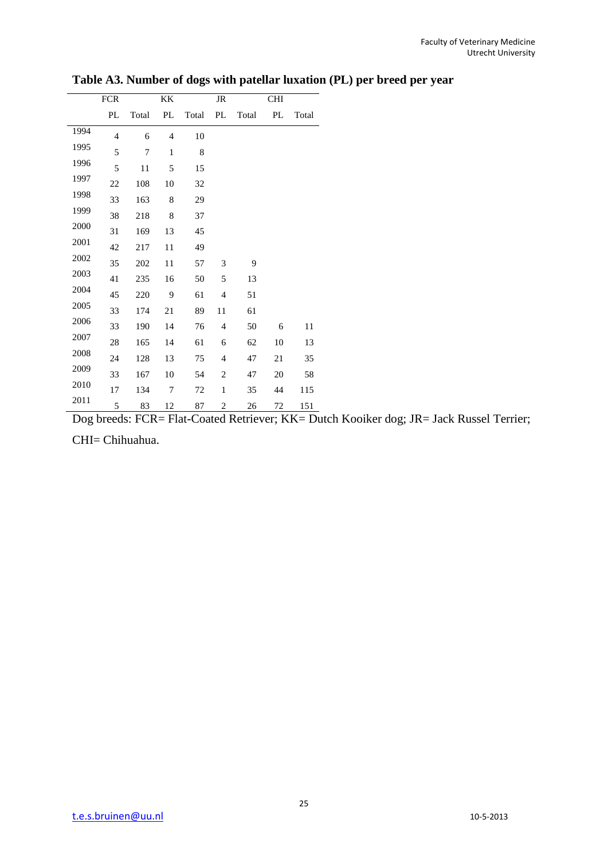|      | FCR            |       | KK             |         | JR             |       | <b>CHI</b> |       |
|------|----------------|-------|----------------|---------|----------------|-------|------------|-------|
|      | PL             | Total | PL             | Total   | PL             | Total | PL         | Total |
| 1994 | $\overline{4}$ | 6     | $\overline{4}$ | 10      |                |       |            |       |
| 1995 | 5              | 7     | $\mathbf{1}$   | $\,8\,$ |                |       |            |       |
| 1996 | 5              | 11    | 5              | 15      |                |       |            |       |
| 1997 | 22             | 108   | 10             | 32      |                |       |            |       |
| 1998 | 33             | 163   | 8              | 29      |                |       |            |       |
| 1999 | 38             | 218   | 8              | 37      |                |       |            |       |
| 2000 | 31             | 169   | 13             | 45      |                |       |            |       |
| 2001 | 42             | 217   | 11             | 49      |                |       |            |       |
| 2002 | 35             | 202   | 11             | 57      | 3              | 9     |            |       |
| 2003 | 41             | 235   | 16             | 50      | 5              | 13    |            |       |
| 2004 | 45             | 220   | 9              | 61      | $\overline{4}$ | 51    |            |       |
| 2005 | 33             | 174   | $21\,$         | 89      | 11             | 61    |            |       |
| 2006 | 33             | 190   | 14             | 76      | $\overline{4}$ | 50    | 6          | 11    |
| 2007 | 28             | 165   | 14             | 61      | 6              | 62    | 10         | 13    |
| 2008 | 24             | 128   | 13             | 75      | $\overline{4}$ | 47    | 21         | 35    |
| 2009 | 33             | 167   | 10             | 54      | $\sqrt{2}$     | 47    | 20         | 58    |
| 2010 | $17\,$         | 134   | 7              | 72      | $\mathbf{1}$   | 35    | 44         | 115   |
| 2011 | 5              | 83    | 12             | 87      | $\overline{c}$ | 26    | 72         | 151   |

**Table A3. Number of dogs with patellar luxation (PL) per breed per year**

Dog breeds: FCR= Flat-Coated Retriever; KK= Dutch Kooiker dog; JR= Jack Russel Terrier; CHI= Chihuahua.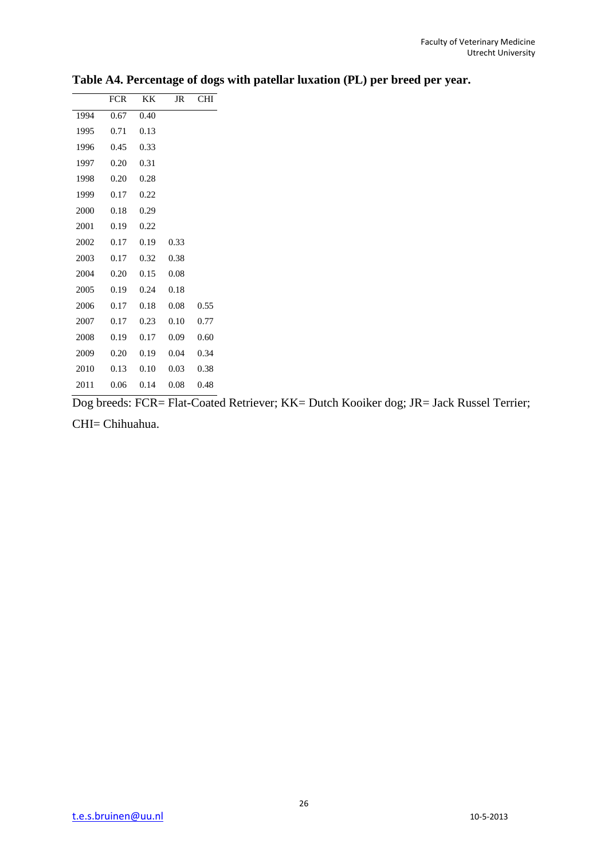|      | <b>FCR</b> | KK   | JR   | CHI  |
|------|------------|------|------|------|
| 1994 | 0.67       | 0.40 |      |      |
| 1995 | 0.71       | 0.13 |      |      |
| 1996 | 0.45       | 0.33 |      |      |
| 1997 | 0.20       | 0.31 |      |      |
| 1998 | 0.20       | 0.28 |      |      |
| 1999 | 0.17       | 0.22 |      |      |
| 2000 | 0.18       | 0.29 |      |      |
| 2001 | 0.19       | 0.22 |      |      |
| 2002 | 0.17       | 0.19 | 0.33 |      |
| 2003 | 0.17       | 0.32 | 0.38 |      |
| 2004 | 0.20       | 0.15 | 0.08 |      |
| 2005 | 0.19       | 0.24 | 0.18 |      |
| 2006 | 0.17       | 0.18 | 0.08 | 0.55 |
| 2007 | 0.17       | 0.23 | 0.10 | 0.77 |
| 2008 | 0.19       | 0.17 | 0.09 | 0.60 |
| 2009 | 0.20       | 0.19 | 0.04 | 0.34 |
| 2010 | 0.13       | 0.10 | 0.03 | 0.38 |
| 2011 | 0.06       | 0.14 | 0.08 | 0.48 |

**Table A4. Percentage of dogs with patellar luxation (PL) per breed per year.**

Dog breeds: FCR= Flat-Coated Retriever; KK= Dutch Kooiker dog; JR= Jack Russel Terrier;

CHI= Chihuahua.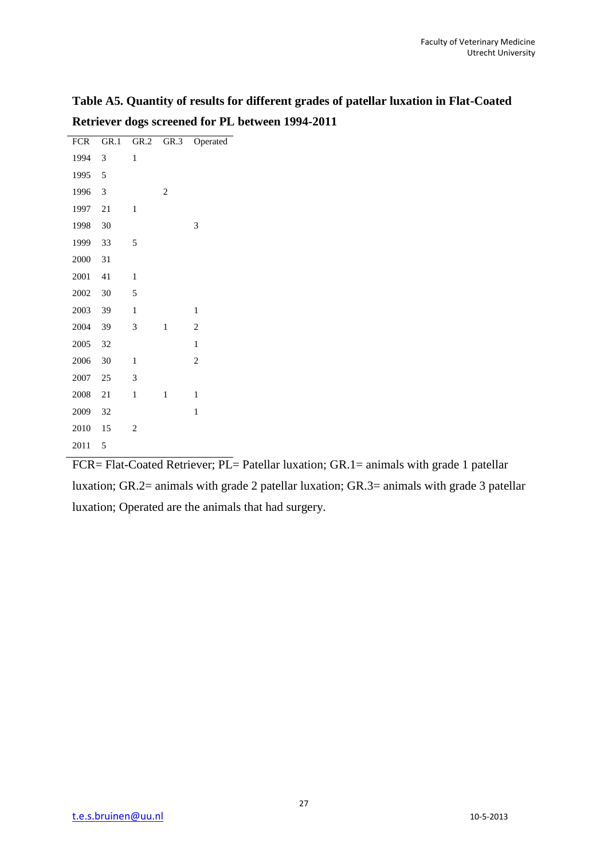**Table A5. Quantity of results for different grades of patellar luxation in Flat-Coated Retriever dogs screened for PL between 1994-2011**

| <b>FCR</b> | GR.1 |                         | GR.2 GR.3      | Operated       |
|------------|------|-------------------------|----------------|----------------|
| 1994       | 3    | $\mathbf{1}$            |                |                |
| 1995       | 5    |                         |                |                |
| 1996       | 3    |                         | $\overline{2}$ |                |
| 1997       | 21   | 1                       |                |                |
| 1998       | 30   |                         |                | 3              |
| 1999       | 33   | 5                       |                |                |
| 2000       | 31   |                         |                |                |
| 2001       | 41   | $\mathbf{1}$            |                |                |
| 2002       | 30   | 5                       |                |                |
| 2003       | 39   | $\mathbf{1}$            |                | $\mathbf{1}$   |
| 2004       | 39   | 3                       | $\mathbf{1}$   | $\overline{2}$ |
| 2005       | 32   |                         |                | $\mathbf{1}$   |
| 2006       | 30   | $\mathbf{1}$            |                | $\overline{c}$ |
| 2007       | 25   | 3                       |                |                |
| 2008       | 21   | $\mathbf{1}$            | 1              | $\mathbf{1}$   |
| 2009       | 32   |                         |                | 1              |
| 2010       | 15   | $\overline{\mathbf{c}}$ |                |                |
| 2011       | 5    |                         |                |                |
|            |      |                         |                |                |

FCR= Flat-Coated Retriever; PL= Patellar luxation; GR.1= animals with grade 1 patellar luxation; GR.2= animals with grade 2 patellar luxation; GR.3= animals with grade 3 patellar luxation; Operated are the animals that had surgery.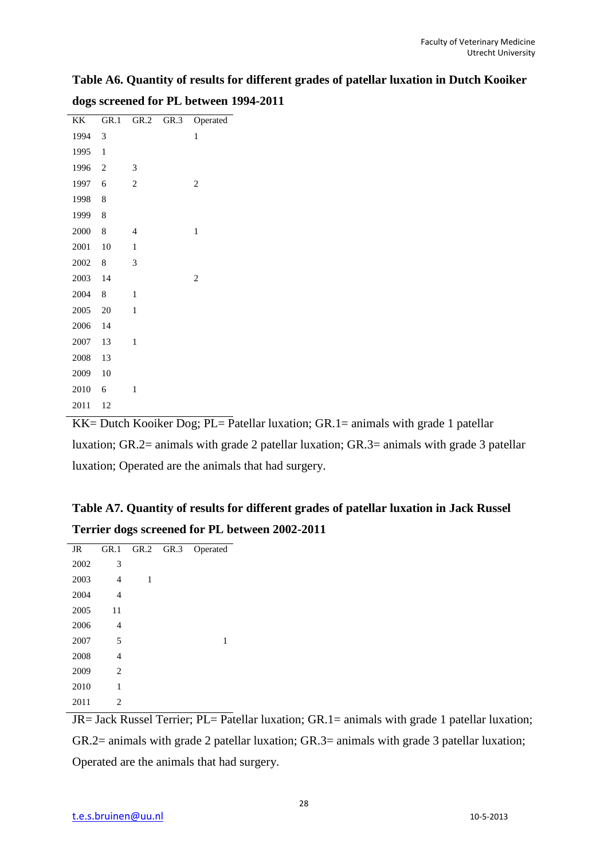**Table A6. Quantity of results for different grades of patellar luxation in Dutch Kooiker dogs screened for PL between 1994-2011**

| KK   | GR.1           | GR.2           | GR.3 | Operated       |
|------|----------------|----------------|------|----------------|
| 1994 | 3              |                |      | 1              |
| 1995 | $\mathbf{1}$   |                |      |                |
| 1996 | $\overline{c}$ | 3              |      |                |
| 1997 | 6              | $\overline{c}$ |      | $\overline{c}$ |
| 1998 | 8              |                |      |                |
| 1999 | 8              |                |      |                |
| 2000 | 8              | $\overline{4}$ |      | 1              |
| 2001 | 10             | $\mathbf{1}$   |      |                |
| 2002 | 8              | 3              |      |                |
| 2003 | 14             |                |      | $\overline{c}$ |
| 2004 | 8              | 1              |      |                |
| 2005 | 20             | $\mathbf{1}$   |      |                |
| 2006 | 14             |                |      |                |
| 2007 | 13             | $\mathbf{1}$   |      |                |
| 2008 | 13             |                |      |                |
| 2009 | 10             |                |      |                |
| 2010 | 6              | 1              |      |                |
| 2011 | 12             |                |      |                |

KK= Dutch Kooiker Dog;  $PL =$  Patellar luxation;  $GR.1 =$  animals with grade 1 patellar luxation; GR.2= animals with grade 2 patellar luxation; GR.3= animals with grade 3 patellar luxation; Operated are the animals that had surgery.

| Table A7. Quantity of results for different grades of patellar luxation in Jack Russel |  |
|----------------------------------------------------------------------------------------|--|
| Terrier dogs screened for PL between 2002-2011                                         |  |

| JR   | GR.1           | GR.2 | GR.3 | Operated |
|------|----------------|------|------|----------|
| 2002 | 3              |      |      |          |
| 2003 | $\overline{4}$ | 1    |      |          |
| 2004 | $\overline{4}$ |      |      |          |
| 2005 | 11             |      |      |          |
| 2006 | 4              |      |      |          |
| 2007 | 5              |      |      | 1        |
| 2008 | 4              |      |      |          |
| 2009 | 2              |      |      |          |
| 2010 | 1              |      |      |          |
| 2011 | $\overline{c}$ |      |      |          |

 $JR=$  Jack Russel Terrier; PL= Patellar luxation; GR.1= animals with grade 1 patellar luxation; GR.2= animals with grade 2 patellar luxation; GR.3= animals with grade 3 patellar luxation; Operated are the animals that had surgery.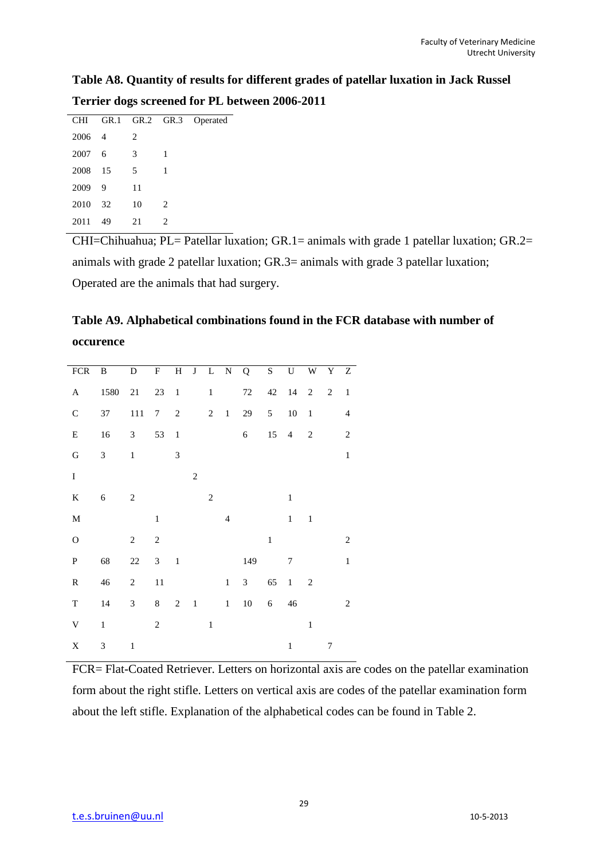# **Table A8. Quantity of results for different grades of patellar luxation in Jack Russel Terrier dogs screened for PL between 2006-2011**

| CНI  |                |                               |                             | GR.1 GR.2 GR.3 Operated |
|------|----------------|-------------------------------|-----------------------------|-------------------------|
| 2006 | $\overline{4}$ | $\mathfrak{D}_{\mathfrak{p}}$ |                             |                         |
| 2007 | 6              | 3                             | 1                           |                         |
| 2008 | - 15           | 5                             | 1                           |                         |
| 2009 | 9              | 11                            |                             |                         |
| 2010 | 32             | 10                            | 2                           |                         |
| 2011 | 49             | 21                            | $\mathcal{D}_{\mathcal{L}}$ |                         |
|      |                |                               |                             |                         |

CHI=Chihuahua; PL= Patellar luxation; GR.1= animals with grade 1 patellar luxation; GR.2= animals with grade 2 patellar luxation; GR.3= animals with grade 3 patellar luxation; Operated are the animals that had surgery.

# **Table A9. Alphabetical combinations found in the FCR database with number of occurence**

| <b>FCR</b>                | $\, {\bf B}$   | D              | F              |                             |                |                |                | H J L N Q      | S              |              | $U$ $W$ $Y$ $Z$ |                |                |
|---------------------------|----------------|----------------|----------------|-----------------------------|----------------|----------------|----------------|----------------|----------------|--------------|-----------------|----------------|----------------|
| $\boldsymbol{\mathsf{A}}$ | 1580           | 21             | $23\,$         | $\mathbf{1}$                |                | $\,1$          |                | $72\,$         | 42             | 14           | $\overline{c}$  | $\mathbf{2}$   | $\mathbf{1}$   |
| $\mathsf C$               | 37             | 111            | 7              | $\overline{c}$              |                | $\overline{2}$ | 1              | 29             | 5 <sup>5</sup> | $10\,$       | $\,$ $\,$ $\,$  |                | $\overline{4}$ |
| ${\bf E}$                 | 16             | $\mathfrak{Z}$ | 53             | $\mathbf{1}$                |                |                |                | $\epsilon$     | 15             | 4            | $\overline{c}$  |                | $\sqrt{2}$     |
| ${\bf G}$                 | $\mathfrak{Z}$ | $\,1$          |                | $\ensuremath{\mathfrak{Z}}$ |                |                |                |                |                |              |                 |                | $\mathbf 1$    |
| $\rm I$                   |                |                |                |                             | $\sqrt{2}$     |                |                |                |                |              |                 |                |                |
| $\rm K$                   | $\sqrt{6}$     | $\mathbf{2}$   |                |                             |                | $\sqrt{2}$     |                |                |                | $\,1$        |                 |                |                |
| $\mathbf{M}$              |                |                | $\mathbf{1}$   |                             |                |                | $\overline{4}$ |                |                | $\mathbf 1$  | $\mathbf{1}$    |                |                |
| $\mathcal O$              |                | $\sqrt{2}$     | $\sqrt{2}$     |                             |                |                |                |                | $\,1\,$        |              |                 |                | $\overline{2}$ |
| ${\bf P}$                 | 68             | $22\,$         | $\mathfrak{Z}$ | $\mathbf{1}$                |                |                |                | 149            |                | 7            |                 |                | $\mathbf 1$    |
| ${\bf R}$                 | 46             | $\sqrt{2}$     | $11\,$         |                             |                |                | $\,1$          | $\mathfrak{Z}$ | 65             | $\mathbf{1}$ | $\overline{2}$  |                |                |
| $\mathbf T$               | 14             | $\mathfrak{Z}$ | 8              | $\sqrt{2}$                  | $\overline{1}$ |                | $1 -$          | 10             | 6              | $46\,$       |                 |                | 2              |
| $\ensuremath{\text{V}}$   | $\mathbf 1$    |                | $\sqrt{2}$     |                             |                | $\mathbf{1}$   |                |                |                |              | $\,1\,$         |                |                |
| $\mathbf X$               | 3              | $\mathbf{1}$   |                |                             |                |                |                |                |                | $\,1\,$      |                 | $\overline{7}$ |                |

FCR= Flat-Coated Retriever. Letters on horizontal axis are codes on the patellar examination form about the right stifle. Letters on vertical axis are codes of the patellar examination form about the left stifle. Explanation of the alphabetical codes can be found in Table 2.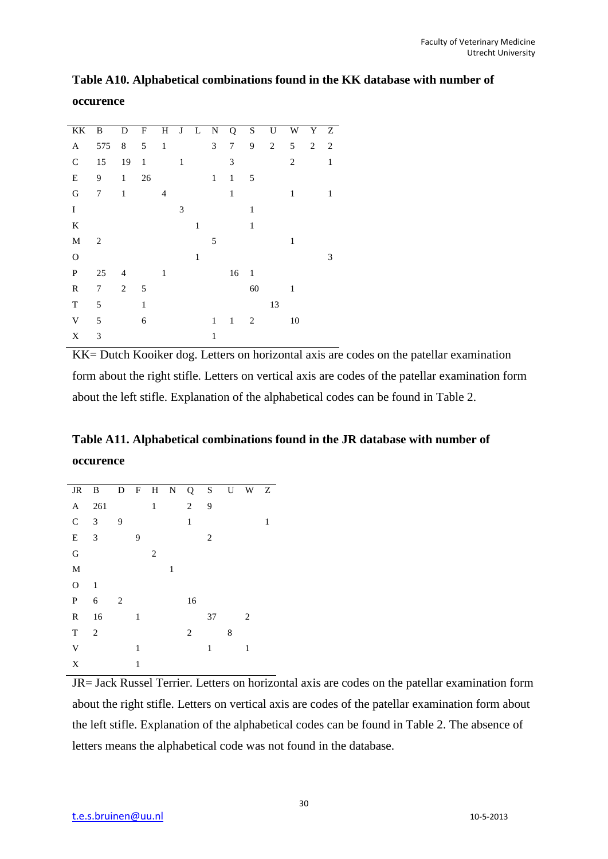| KK          | B              | D              | $\boldsymbol{\mathrm{F}}$ | H              |              | $J \quad L$  | $\mathbf N$  | Q            | $\mathbf S$    | U          | W              | Y              | Z            |  |
|-------------|----------------|----------------|---------------------------|----------------|--------------|--------------|--------------|--------------|----------------|------------|----------------|----------------|--------------|--|
| A           | 575            | $\,8\,$        | 5                         | $\mathbf{1}$   |              |              | 3            | 7            | 9              | $\sqrt{2}$ | 5              | $\overline{2}$ | 2            |  |
| $\mathbf C$ | 15             | 19             | $\mathbf{1}$              |                | $\mathbf{1}$ |              |              | 3            |                |            | $\overline{2}$ |                | $\mathbf{1}$ |  |
| E           | 9              | $\mathbf{1}$   | $26\,$                    |                |              |              | $\mathbf{1}$ | $\mathbf{1}$ | 5              |            |                |                |              |  |
| G           | 7              | $\mathbf{1}$   |                           | $\overline{4}$ |              |              |              | $\mathbf{1}$ |                |            | 1              |                | 1            |  |
| $\rm I$     |                |                |                           |                | 3            |              |              |              | $\mathbf{1}$   |            |                |                |              |  |
| K           |                |                |                           |                |              | $\mathbf{1}$ |              |              | 1              |            |                |                |              |  |
| M           | $\overline{2}$ |                |                           |                |              |              | 5            |              |                |            | 1              |                |              |  |
| $\Omega$    |                |                |                           |                |              | $\mathbf{1}$ |              |              |                |            |                |                | 3            |  |
| ${\bf P}$   | 25             | $\overline{4}$ |                           | 1              |              |              |              | 16           | $\mathbf{1}$   |            |                |                |              |  |
| R           | 7              | 2              | 5                         |                |              |              |              |              | 60             |            | 1              |                |              |  |
| T           | 5              |                | $\mathbf{1}$              |                |              |              |              |              |                | 13         |                |                |              |  |
| V           | 5              |                | 6                         |                |              |              | $\mathbf{1}$ | $\mathbf{1}$ | $\overline{c}$ |            | 10             |                |              |  |
| X           | 3              |                |                           |                |              |              | $\mathbf{1}$ |              |                |            |                |                |              |  |

**Table A10. Alphabetical combinations found in the KK database with number of occurence**

KK= Dutch Kooiker dog. Letters on horizontal axis are codes on the patellar examination form about the right stifle. Letters on vertical axis are codes of the patellar examination form about the left stifle. Explanation of the alphabetical codes can be found in Table 2.

## **Table A11. Alphabetical combinations found in the JR database with number of occurence**

| JR B         |                |   |   |   |   | D F H N Q S    |    | U | W Z |   |
|--------------|----------------|---|---|---|---|----------------|----|---|-----|---|
| A            | 261            |   |   | 1 |   | $\overline{2}$ | 9  |   |     |   |
| $\mathsf{C}$ | $\mathfrak{Z}$ | 9 |   |   |   | $\mathbf{1}$   |    |   |     | 1 |
| ${\bf E}$    | 3              |   | 9 |   |   |                | 2  |   |     |   |
| G            |                |   |   | 2 |   |                |    |   |     |   |
| $\mathbf M$  |                |   |   |   | 1 |                |    |   |     |   |
| $\mathbf O$  | $\mathbf{1}$   |   |   |   |   |                |    |   |     |   |
| ${\bf P}$    | 6              | 2 |   |   |   | 16             |    |   |     |   |
| R            | 16             |   | 1 |   |   |                | 37 |   | 2   |   |
| T            | $\sqrt{2}$     |   |   |   |   | 2              |    | 8 |     |   |
| $\mathbf V$  |                |   | 1 |   |   |                | 1  |   | 1   |   |
| X            |                |   | 1 |   |   |                |    |   |     |   |

JR= Jack Russel Terrier. Letters on horizontal axis are codes on the patellar examination form about the right stifle. Letters on vertical axis are codes of the patellar examination form about the left stifle. Explanation of the alphabetical codes can be found in Table 2. The absence of letters means the alphabetical code was not found in the database.